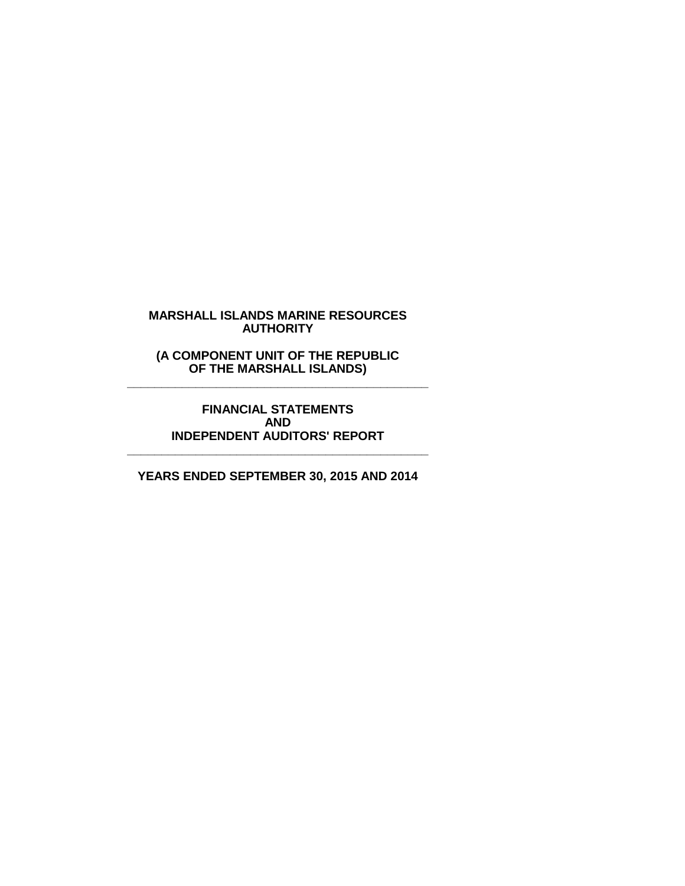**(A COMPONENT UNIT OF THE REPUBLIC OF THE MARSHALL ISLANDS) \_\_\_\_\_\_\_\_\_\_\_\_\_\_\_\_\_\_\_\_\_\_\_\_\_\_\_\_\_\_\_\_\_\_\_\_\_\_\_\_\_\_\_\_**

> **FINANCIAL STATEMENTS AND INDEPENDENT AUDITORS' REPORT**

**YEARS ENDED SEPTEMBER 30, 2015 AND 2014**

**\_\_\_\_\_\_\_\_\_\_\_\_\_\_\_\_\_\_\_\_\_\_\_\_\_\_\_\_\_\_\_\_\_\_\_\_\_\_\_\_\_\_\_\_**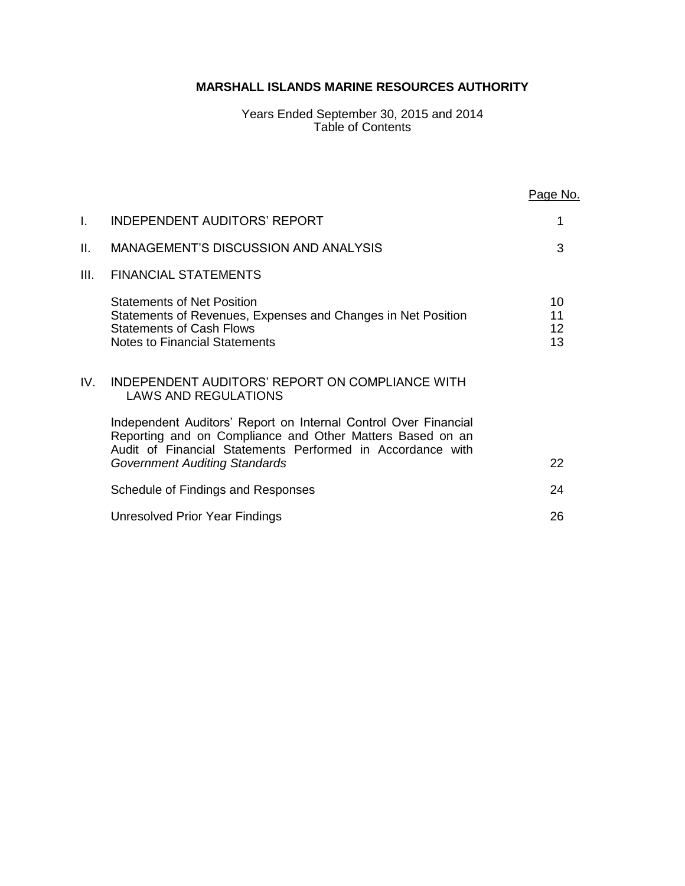Years Ended September 30, 2015 and 2014 Table of Contents

|      |                                                                                                                                                                                                                                    | <u>Page No.</u>      |
|------|------------------------------------------------------------------------------------------------------------------------------------------------------------------------------------------------------------------------------------|----------------------|
| L.   | <b>INDEPENDENT AUDITORS' REPORT</b>                                                                                                                                                                                                | 1                    |
| Ш.   | <b>MANAGEMENT'S DISCUSSION AND ANALYSIS</b>                                                                                                                                                                                        | 3                    |
| III. | <b>FINANCIAL STATEMENTS</b>                                                                                                                                                                                                        |                      |
|      | <b>Statements of Net Position</b><br>Statements of Revenues, Expenses and Changes in Net Position<br><b>Statements of Cash Flows</b><br><b>Notes to Financial Statements</b>                                                       | 10<br>11<br>12<br>13 |
| IV.  | INDEPENDENT AUDITORS' REPORT ON COMPLIANCE WITH<br><b>LAWS AND REGULATIONS</b>                                                                                                                                                     |                      |
|      | Independent Auditors' Report on Internal Control Over Financial<br>Reporting and on Compliance and Other Matters Based on an<br>Audit of Financial Statements Performed in Accordance with<br><b>Government Auditing Standards</b> | 22                   |
|      | Schedule of Findings and Responses                                                                                                                                                                                                 | 24                   |
|      | Unresolved Prior Year Findings                                                                                                                                                                                                     | 26                   |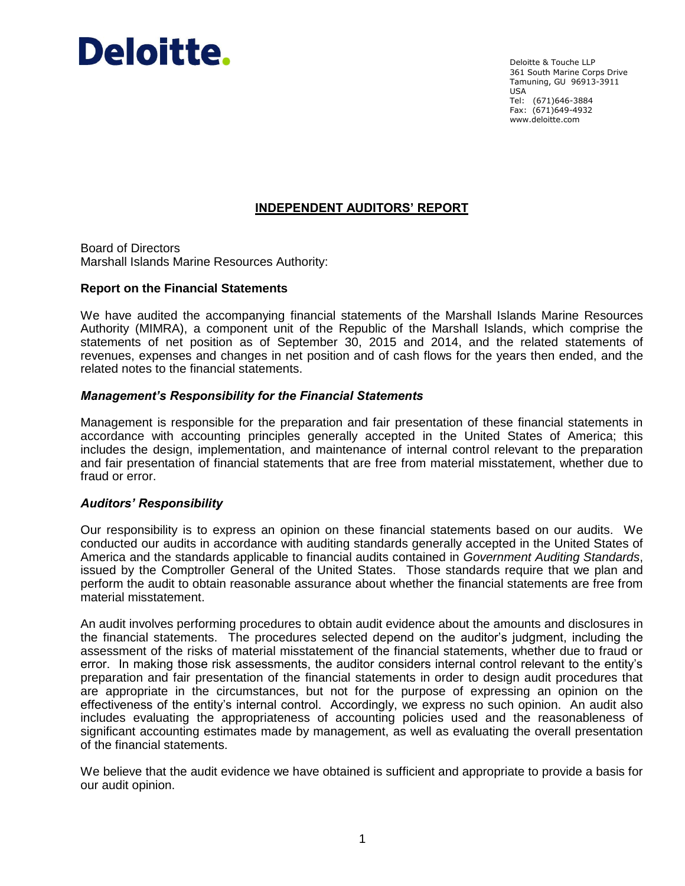

Deloitte & Touche LLP 361 South Marine Corps Drive Tamuning, GU 96913-3911 USA Tel: (671)646-3884 Fax: (671)649-4932 www.deloitte.com

# **INDEPENDENT AUDITORS' REPORT**

Board of Directors Marshall Islands Marine Resources Authority:

### **Report on the Financial Statements**

We have audited the accompanying financial statements of the Marshall Islands Marine Resources Authority (MIMRA), a component unit of the Republic of the Marshall Islands, which comprise the statements of net position as of September 30, 2015 and 2014, and the related statements of revenues, expenses and changes in net position and of cash flows for the years then ended, and the related notes to the financial statements.

### *Management's Responsibility for the Financial Statements*

Management is responsible for the preparation and fair presentation of these financial statements in accordance with accounting principles generally accepted in the United States of America; this includes the design, implementation, and maintenance of internal control relevant to the preparation and fair presentation of financial statements that are free from material misstatement, whether due to fraud or error.

### *Auditors' Responsibility*

Our responsibility is to express an opinion on these financial statements based on our audits. We conducted our audits in accordance with auditing standards generally accepted in the United States of America and the standards applicable to financial audits contained in *Government Auditing Standards*, issued by the Comptroller General of the United States. Those standards require that we plan and perform the audit to obtain reasonable assurance about whether the financial statements are free from material misstatement.

An audit involves performing procedures to obtain audit evidence about the amounts and disclosures in the financial statements. The procedures selected depend on the auditor's judgment, including the assessment of the risks of material misstatement of the financial statements, whether due to fraud or error. In making those risk assessments, the auditor considers internal control relevant to the entity's preparation and fair presentation of the financial statements in order to design audit procedures that are appropriate in the circumstances, but not for the purpose of expressing an opinion on the effectiveness of the entity's internal control. Accordingly, we express no such opinion. An audit also includes evaluating the appropriateness of accounting policies used and the reasonableness of significant accounting estimates made by management, as well as evaluating the overall presentation of the financial statements.

We believe that the audit evidence we have obtained is sufficient and appropriate to provide a basis for our audit opinion.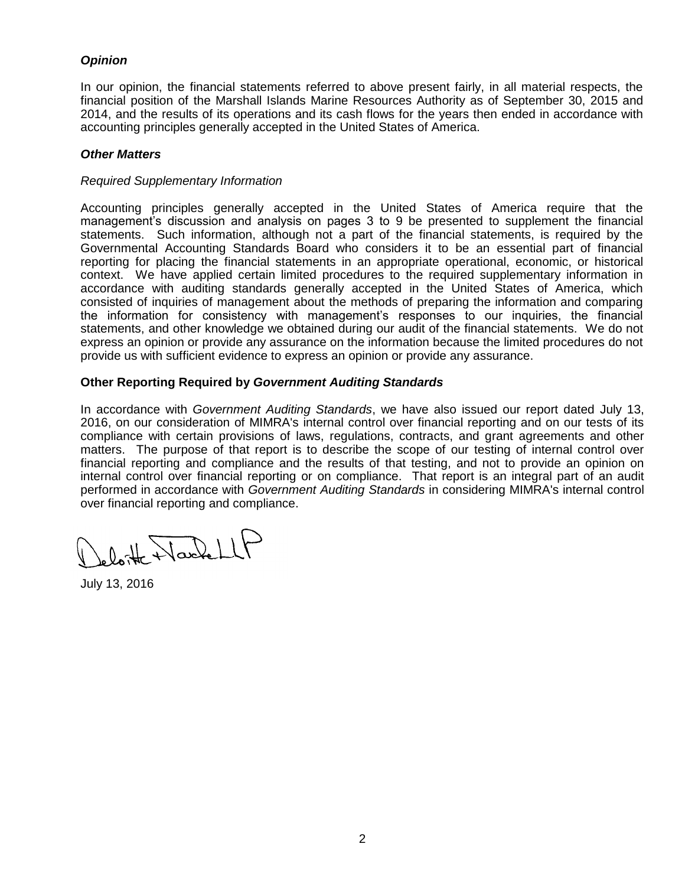### *Opinion*

In our opinion, the financial statements referred to above present fairly, in all material respects, the financial position of the Marshall Islands Marine Resources Authority as of September 30, 2015 and 2014, and the results of its operations and its cash flows for the years then ended in accordance with accounting principles generally accepted in the United States of America.

### *Other Matters*

#### *Required Supplementary Information*

Accounting principles generally accepted in the United States of America require that the management's discussion and analysis on pages 3 to 9 be presented to supplement the financial statements. Such information, although not a part of the financial statements, is required by the Governmental Accounting Standards Board who considers it to be an essential part of financial reporting for placing the financial statements in an appropriate operational, economic, or historical context. We have applied certain limited procedures to the required supplementary information in accordance with auditing standards generally accepted in the United States of America, which consisted of inquiries of management about the methods of preparing the information and comparing the information for consistency with management's responses to our inquiries, the financial statements, and other knowledge we obtained during our audit of the financial statements. We do not express an opinion or provide any assurance on the information because the limited procedures do not provide us with sufficient evidence to express an opinion or provide any assurance.

### **Other Reporting Required by** *Government Auditing Standards*

In accordance with *Government Auditing Standards*, we have also issued our report dated July 13, 2016, on our consideration of MIMRA's internal control over financial reporting and on our tests of its compliance with certain provisions of laws, regulations, contracts, and grant agreements and other matters. The purpose of that report is to describe the scope of our testing of internal control over financial reporting and compliance and the results of that testing, and not to provide an opinion on internal control over financial reporting or on compliance. That report is an integral part of an audit performed in accordance with *Government Auditing Standards* in considering MIMRA's internal control over financial reporting and compliance.

leloite Nachell

July 13, 2016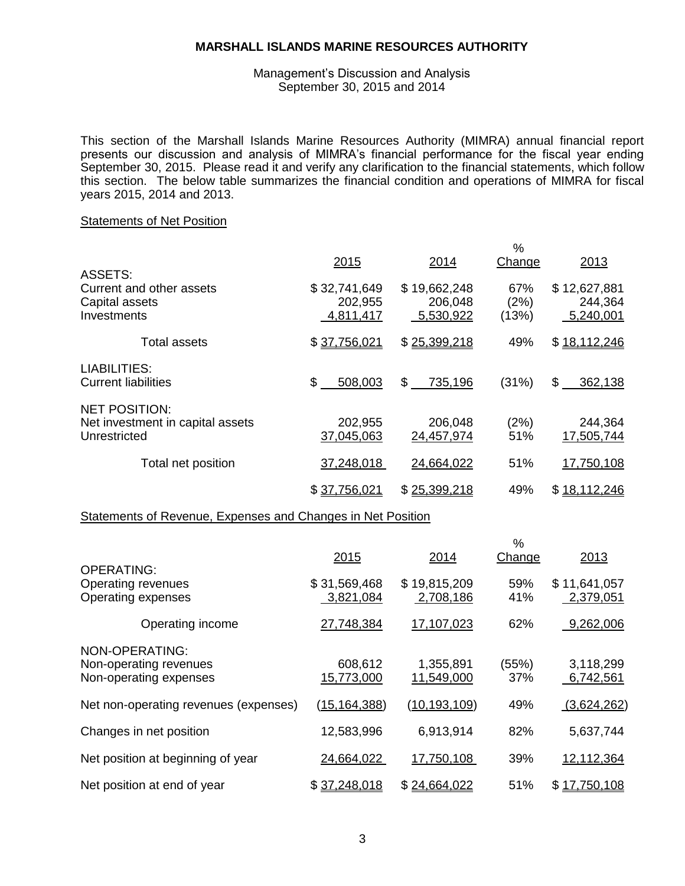#### Management's Discussion and Analysis September 30, 2015 and 2014

This section of the Marshall Islands Marine Resources Authority (MIMRA) annual financial report presents our discussion and analysis of MIMRA's financial performance for the fiscal year ending September 30, 2015. Please read it and verify any clarification to the financial statements, which follow this section. The below table summarizes the financial condition and operations of MIMRA for fiscal years 2015, 2014 and 2013.

### **Statements of Net Position**

|                                                                          |                                      |                                      | %                    |                                      |
|--------------------------------------------------------------------------|--------------------------------------|--------------------------------------|----------------------|--------------------------------------|
| ASSETS:                                                                  | 2015                                 | 2014                                 | Change               | 2013                                 |
| Current and other assets<br>Capital assets<br>Investments                | \$32,741,649<br>202,955<br>4,811,417 | \$19,662,248<br>206,048<br>5,530,922 | 67%<br>(2%)<br>(13%) | \$12,627,881<br>244,364<br>5,240,001 |
| Total assets                                                             | \$37,756,021                         | \$25,399,218                         | 49%                  | \$18,112,246                         |
| LIABILITIES:<br><b>Current liabilities</b>                               | \$<br>508,003                        | $\mathbb{S}$<br>735,196              | (31%)                | \$<br>362,138                        |
| <b>NET POSITION:</b><br>Net investment in capital assets<br>Unrestricted | 202,955<br>37,045,063                | 206,048<br>24,457,974                | (2%)<br>51%          | 244,364<br>17,505,744                |
| Total net position                                                       | 37,248,018                           | 24,664,022                           | 51%                  | 17,750,108                           |
|                                                                          | \$37,756,021                         | \$25,399,218                         | 49%                  | \$18,112,246                         |

### Statements of Revenue, Expenses and Changes in Net Position

|                                                                    |                           |                           | %            |                           |
|--------------------------------------------------------------------|---------------------------|---------------------------|--------------|---------------------------|
|                                                                    | 2015                      | 2014                      | Change       | 2013                      |
| <b>OPERATING:</b><br>Operating revenues<br>Operating expenses      | \$31,569,468<br>3,821,084 | \$19,815,209<br>2,708,186 | 59%<br>41%   | \$11,641,057<br>2,379,051 |
| Operating income                                                   | 27,748,384                | 17,107,023                | 62%          | 9,262,006                 |
| NON-OPERATING:<br>Non-operating revenues<br>Non-operating expenses | 608,612<br>15,773,000     | 1,355,891<br>11,549,000   | (55%)<br>37% | 3,118,299<br>6,742,561    |
| Net non-operating revenues (expenses)                              | <u>(15,164,388)</u>       | (10, 193, 109)            | 49%          | (3,624,262)               |
| Changes in net position                                            | 12,583,996                | 6,913,914                 | 82%          | 5,637,744                 |
| Net position at beginning of year                                  | 24,664,022                | 17,750,108                | 39%          | 12,112,364                |
| Net position at end of year                                        | \$37,248,018              | \$24,664,022              | 51%          | \$17,750,108              |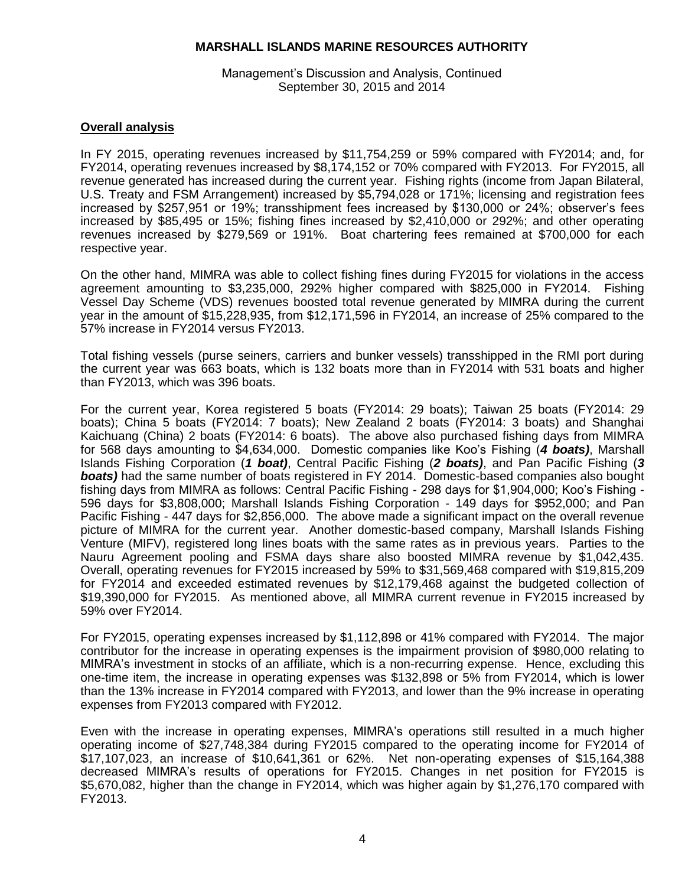Management's Discussion and Analysis, Continued September 30, 2015 and 2014

#### **Overall analysis**

In FY 2015, operating revenues increased by \$11,754,259 or 59% compared with FY2014; and, for FY2014, operating revenues increased by \$8,174,152 or 70% compared with FY2013. For FY2015, all revenue generated has increased during the current year. Fishing rights (income from Japan Bilateral, U.S. Treaty and FSM Arrangement) increased by \$5,794,028 or 171%; licensing and registration fees increased by \$257,951 or 19%; transshipment fees increased by \$130,000 or 24%; observer's fees increased by \$85,495 or 15%; fishing fines increased by \$2,410,000 or 292%; and other operating revenues increased by \$279,569 or 191%. Boat chartering fees remained at \$700,000 for each respective year.

On the other hand, MIMRA was able to collect fishing fines during FY2015 for violations in the access agreement amounting to \$3,235,000, 292% higher compared with \$825,000 in FY2014. Fishing Vessel Day Scheme (VDS) revenues boosted total revenue generated by MIMRA during the current year in the amount of \$15,228,935, from \$12,171,596 in FY2014, an increase of 25% compared to the 57% increase in FY2014 versus FY2013.

Total fishing vessels (purse seiners, carriers and bunker vessels) transshipped in the RMI port during the current year was 663 boats, which is 132 boats more than in FY2014 with 531 boats and higher than FY2013, which was 396 boats.

For the current year, Korea registered 5 boats (FY2014: 29 boats); Taiwan 25 boats (FY2014: 29 boats); China 5 boats (FY2014: 7 boats); New Zealand 2 boats (FY2014: 3 boats) and Shanghai Kaichuang (China) 2 boats (FY2014: 6 boats). The above also purchased fishing days from MIMRA for 568 days amounting to \$4,634,000. Domestic companies like Koo's Fishing (*4 boats)*, Marshall Islands Fishing Corporation (*1 boat)*, Central Pacific Fishing (*2 boats)*, and Pan Pacific Fishing (*3 boats)* had the same number of boats registered in FY 2014. Domestic-based companies also bought fishing days from MIMRA as follows: Central Pacific Fishing - 298 days for \$1,904,000; Koo's Fishing - 596 days for \$3,808,000; Marshall Islands Fishing Corporation - 149 days for \$952,000; and Pan Pacific Fishing - 447 days for \$2,856,000. The above made a significant impact on the overall revenue picture of MIMRA for the current year. Another domestic-based company, Marshall Islands Fishing Venture (MIFV), registered long lines boats with the same rates as in previous years. Parties to the Nauru Agreement pooling and FSMA days share also boosted MIMRA revenue by \$1,042,435. Overall, operating revenues for FY2015 increased by 59% to \$31,569,468 compared with \$19,815,209 for FY2014 and exceeded estimated revenues by \$12,179,468 against the budgeted collection of \$19,390,000 for FY2015. As mentioned above, all MIMRA current revenue in FY2015 increased by 59% over FY2014.

For FY2015, operating expenses increased by \$1,112,898 or 41% compared with FY2014. The major contributor for the increase in operating expenses is the impairment provision of \$980,000 relating to MIMRA's investment in stocks of an affiliate, which is a non-recurring expense. Hence, excluding this one-time item, the increase in operating expenses was \$132,898 or 5% from FY2014, which is lower than the 13% increase in FY2014 compared with FY2013, and lower than the 9% increase in operating expenses from FY2013 compared with FY2012.

Even with the increase in operating expenses, MIMRA's operations still resulted in a much higher operating income of \$27,748,384 during FY2015 compared to the operating income for FY2014 of \$17,107,023, an increase of \$10,641,361 or 62%. Net non-operating expenses of \$15,164,388 decreased MIMRA's results of operations for FY2015. Changes in net position for FY2015 is \$5,670,082, higher than the change in FY2014, which was higher again by \$1,276,170 compared with FY2013.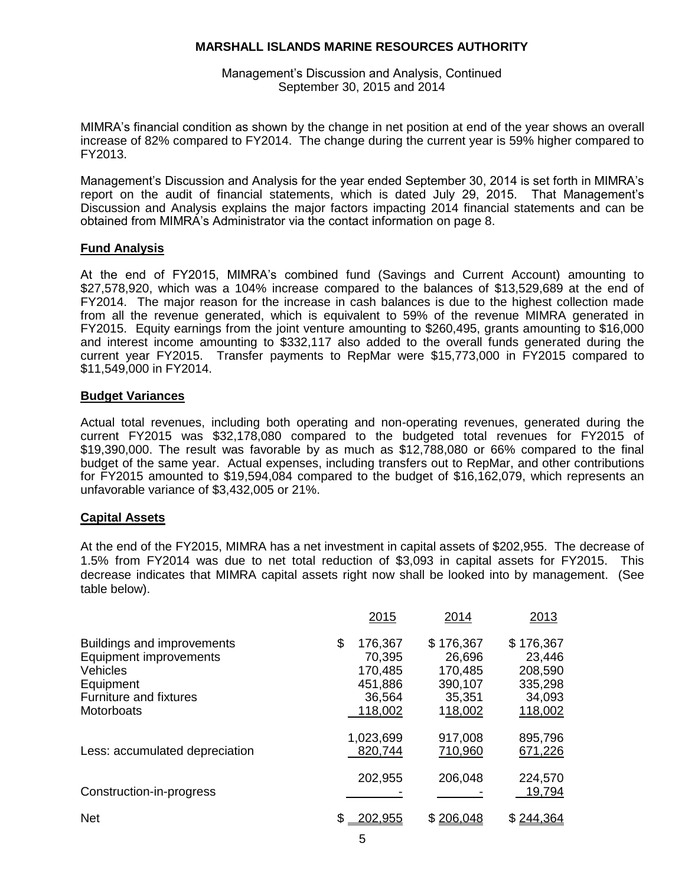Management's Discussion and Analysis, Continued September 30, 2015 and 2014

MIMRA's financial condition as shown by the change in net position at end of the year shows an overall increase of 82% compared to FY2014. The change during the current year is 59% higher compared to FY2013.

Management's Discussion and Analysis for the year ended September 30, 2014 is set forth in MIMRA's report on the audit of financial statements, which is dated July 29, 2015. That Management's Discussion and Analysis explains the major factors impacting 2014 financial statements and can be obtained from MIMRA's Administrator via the contact information on page 8.

### **Fund Analysis**

At the end of FY2015, MIMRA's combined fund (Savings and Current Account) amounting to \$27,578,920, which was a 104% increase compared to the balances of \$13,529,689 at the end of FY2014. The major reason for the increase in cash balances is due to the highest collection made from all the revenue generated, which is equivalent to 59% of the revenue MIMRA generated in FY2015. Equity earnings from the joint venture amounting to \$260,495, grants amounting to \$16,000 and interest income amounting to \$332,117 also added to the overall funds generated during the current year FY2015. Transfer payments to RepMar were \$15,773,000 in FY2015 compared to \$11,549,000 in FY2014.

### **Budget Variances**

Actual total revenues, including both operating and non-operating revenues, generated during the current FY2015 was \$32,178,080 compared to the budgeted total revenues for FY2015 of \$19,390,000. The result was favorable by as much as \$12,788,080 or 66% compared to the final budget of the same year. Actual expenses, including transfers out to RepMar, and other contributions for FY2015 amounted to \$19,594,084 compared to the budget of \$16,162,079, which represents an unfavorable variance of \$3,432,005 or 21%.

### **Capital Assets**

At the end of the FY2015, MIMRA has a net investment in capital assets of \$202,955. The decrease of 1.5% from FY2014 was due to net total reduction of \$3,093 in capital assets for FY2015. This decrease indicates that MIMRA capital assets right now shall be looked into by management. (See table below).

|                                                                                                                                            | 2015                                                               | 2014                                                           | 2013                                                           |
|--------------------------------------------------------------------------------------------------------------------------------------------|--------------------------------------------------------------------|----------------------------------------------------------------|----------------------------------------------------------------|
| <b>Buildings and improvements</b><br>Equipment improvements<br><b>Vehicles</b><br>Equipment<br><b>Furniture and fixtures</b><br>Motorboats | \$<br>176,367<br>70,395<br>170,485<br>451,886<br>36,564<br>118,002 | \$176,367<br>26,696<br>170,485<br>390,107<br>35,351<br>118,002 | \$176,367<br>23,446<br>208,590<br>335,298<br>34,093<br>118,002 |
| Less: accumulated depreciation                                                                                                             | 1,023,699<br>820,744                                               | 917,008<br>710,960                                             | 895,796<br>671,226                                             |
| Construction-in-progress                                                                                                                   | 202,955                                                            | 206,048                                                        | 224,570<br>19,794                                              |
| <b>Net</b>                                                                                                                                 |                                                                    |                                                                |                                                                |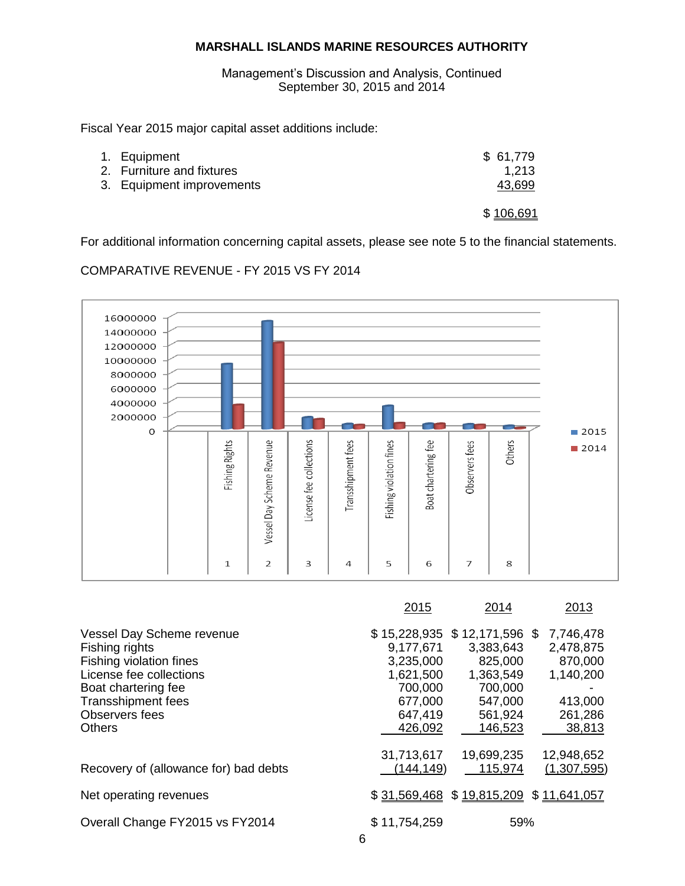Management's Discussion and Analysis, Continued September 30, 2015 and 2014

Fiscal Year 2015 major capital asset additions include:

| 1. Equipment<br>2. Furniture and fixtures<br>3. Equipment improvements | \$61,779<br>1.213<br>43,699 |
|------------------------------------------------------------------------|-----------------------------|
|                                                                        | \$106,691                   |

For additional information concerning capital assets, please see note 5 to the financial statements.



COMPARATIVE REVENUE - FY 2015 VS FY 2014

|                                                                                                                                                                                          | 2015                                                                            | 2014                                                                                                             | 2013                                                                           |
|------------------------------------------------------------------------------------------------------------------------------------------------------------------------------------------|---------------------------------------------------------------------------------|------------------------------------------------------------------------------------------------------------------|--------------------------------------------------------------------------------|
| Vessel Day Scheme revenue<br>Fishing rights<br>Fishing violation fines<br>License fee collections<br>Boat chartering fee<br><b>Transshipment fees</b><br>Observers fees<br><b>Others</b> | 9,177,671<br>3,235,000<br>1,621,500<br>700,000<br>677,000<br>647,419<br>426,092 | $$15,228,935$ $$12,171,596$ $$$<br>3,383,643<br>825,000<br>1,363,549<br>700,000<br>547,000<br>561,924<br>146,523 | 7,746,478<br>2,478,875<br>870,000<br>1,140,200<br>413,000<br>261,286<br>38,813 |
| Recovery of (allowance for) bad debts<br>Net operating revenues                                                                                                                          | 31,713,617<br>(144, 149)<br>\$31,569,468                                        | 19,699,235<br>115,974<br>\$19,815,209                                                                            | 12,948,652<br>(1,307,595)<br>\$11,641,057                                      |
| Overall Change FY2015 vs FY2014                                                                                                                                                          | \$11,754,259                                                                    | 59%                                                                                                              |                                                                                |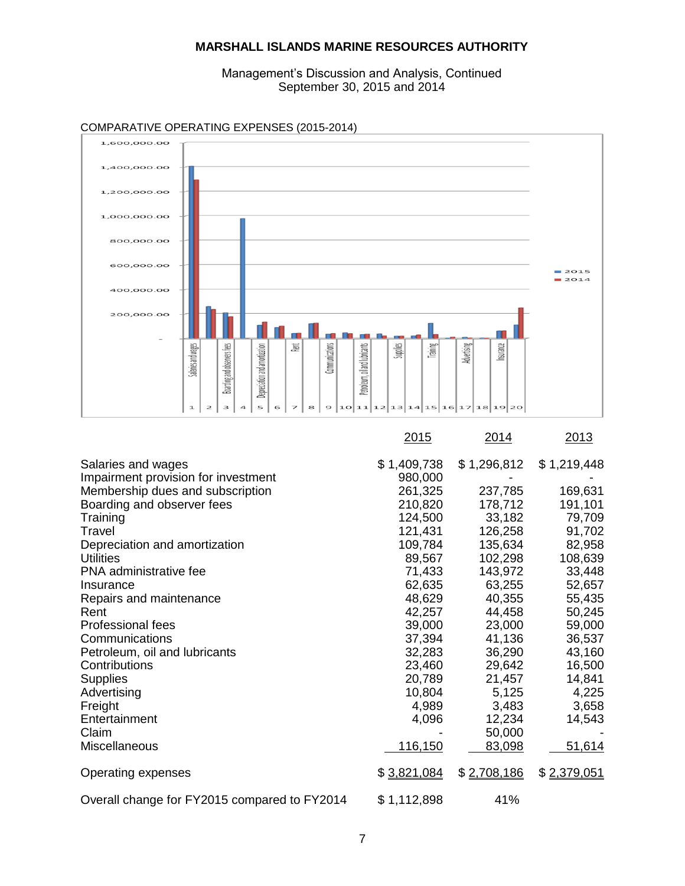Management's Discussion and Analysis, Continued September 30, 2015 and 2014



|                                              | 2015        | 2014        | 2013        |
|----------------------------------------------|-------------|-------------|-------------|
| Salaries and wages                           | \$1,409,738 | \$1,296,812 | \$1,219,448 |
| Impairment provision for investment          | 980,000     |             |             |
| Membership dues and subscription             | 261,325     | 237,785     | 169,631     |
| Boarding and observer fees                   | 210,820     | 178,712     | 191,101     |
| Training                                     | 124,500     | 33,182      | 79,709      |
| Travel                                       | 121,431     | 126,258     | 91,702      |
| Depreciation and amortization                | 109,784     | 135,634     | 82,958      |
| <b>Utilities</b>                             | 89,567      | 102,298     | 108,639     |
| PNA administrative fee                       | 71,433      | 143,972     | 33,448      |
| Insurance                                    | 62,635      | 63,255      | 52,657      |
| Repairs and maintenance                      | 48,629      | 40,355      | 55,435      |
| Rent                                         | 42,257      | 44,458      | 50,245      |
| <b>Professional fees</b>                     | 39,000      | 23,000      | 59,000      |
| Communications                               | 37,394      | 41,136      | 36,537      |
| Petroleum, oil and lubricants                | 32,283      | 36,290      | 43,160      |
| Contributions                                | 23,460      | 29,642      | 16,500      |
| <b>Supplies</b>                              | 20,789      | 21,457      | 14,841      |
| Advertising                                  | 10,804      | 5,125       | 4,225       |
| Freight                                      | 4,989       | 3,483       | 3,658       |
| Entertainment                                | 4,096       | 12,234      | 14,543      |
| Claim                                        |             | 50,000      |             |
| Miscellaneous                                | 116,150     | 83,098      | 51,614      |
| Operating expenses                           | \$3,821,084 | \$2,708,186 | \$2,379,051 |
| Overall change for FY2015 compared to FY2014 | \$1,112,898 | 41%         |             |

# COMPARATIVE OPERATING EXPENSES (2015-2014)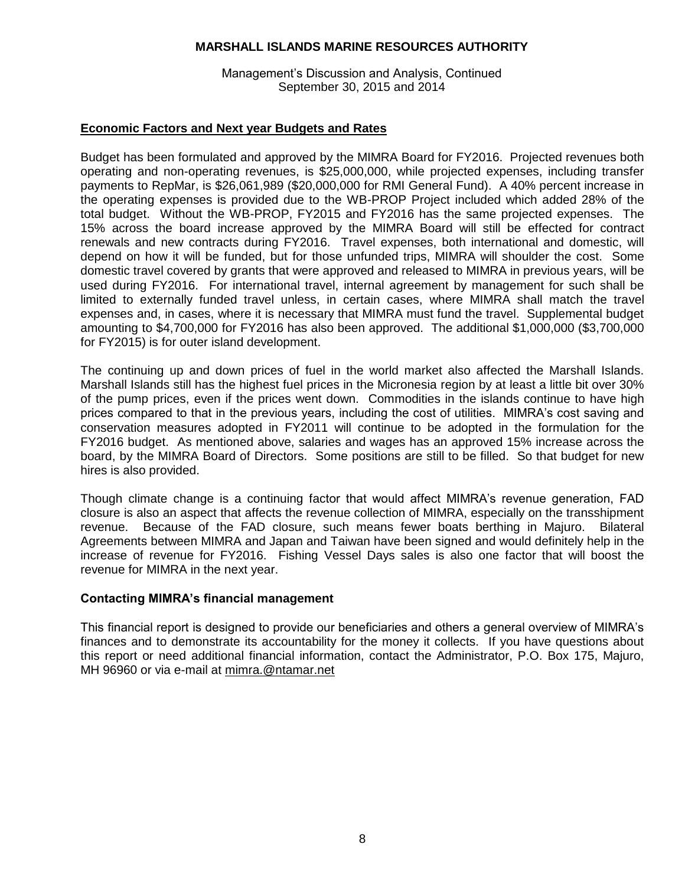Management's Discussion and Analysis, Continued September 30, 2015 and 2014

### **Economic Factors and Next year Budgets and Rates**

Budget has been formulated and approved by the MIMRA Board for FY2016. Projected revenues both operating and non-operating revenues, is \$25,000,000, while projected expenses, including transfer payments to RepMar, is \$26,061,989 (\$20,000,000 for RMI General Fund). A 40% percent increase in the operating expenses is provided due to the WB-PROP Project included which added 28% of the total budget. Without the WB-PROP, FY2015 and FY2016 has the same projected expenses. The 15% across the board increase approved by the MIMRA Board will still be effected for contract renewals and new contracts during FY2016. Travel expenses, both international and domestic, will depend on how it will be funded, but for those unfunded trips, MIMRA will shoulder the cost. Some domestic travel covered by grants that were approved and released to MIMRA in previous years, will be used during FY2016. For international travel, internal agreement by management for such shall be limited to externally funded travel unless, in certain cases, where MIMRA shall match the travel expenses and, in cases, where it is necessary that MIMRA must fund the travel. Supplemental budget amounting to \$4,700,000 for FY2016 has also been approved. The additional \$1,000,000 (\$3,700,000 for FY2015) is for outer island development.

The continuing up and down prices of fuel in the world market also affected the Marshall Islands. Marshall Islands still has the highest fuel prices in the Micronesia region by at least a little bit over 30% of the pump prices, even if the prices went down. Commodities in the islands continue to have high prices compared to that in the previous years, including the cost of utilities. MIMRA's cost saving and conservation measures adopted in FY2011 will continue to be adopted in the formulation for the FY2016 budget. As mentioned above, salaries and wages has an approved 15% increase across the board, by the MIMRA Board of Directors. Some positions are still to be filled. So that budget for new hires is also provided.

Though climate change is a continuing factor that would affect MIMRA's revenue generation, FAD closure is also an aspect that affects the revenue collection of MIMRA, especially on the transshipment revenue. Because of the FAD closure, such means fewer boats berthing in Majuro. Bilateral Agreements between MIMRA and Japan and Taiwan have been signed and would definitely help in the increase of revenue for FY2016. Fishing Vessel Days sales is also one factor that will boost the revenue for MIMRA in the next year.

### **Contacting MIMRA's financial management**

This financial report is designed to provide our beneficiaries and others a general overview of MIMRA's finances and to demonstrate its accountability for the money it collects. If you have questions about this report or need additional financial information, contact the Administrator, P.O. Box 175, Majuro, MH 96960 or via e-mail at [mimra.@ntamar.net](mailto:mimra.@ntamar.net)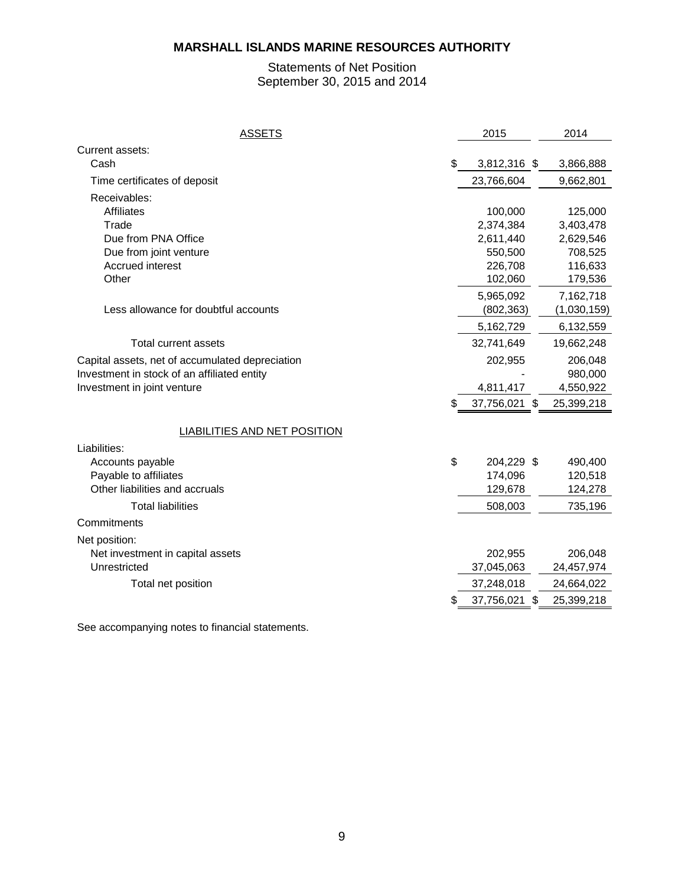### Statements of Net Position September 30, 2015 and 2014

| <b>ASSETS</b>                                   | 2015          | 2014        |
|-------------------------------------------------|---------------|-------------|
| Current assets:                                 |               |             |
| \$<br>Cash                                      | 3,812,316 \$  | 3,866,888   |
| Time certificates of deposit                    | 23,766,604    | 9,662,801   |
| Receivables:                                    |               |             |
| <b>Affiliates</b>                               | 100,000       | 125,000     |
| Trade                                           | 2,374,384     | 3,403,478   |
| Due from PNA Office                             | 2,611,440     | 2,629,546   |
| Due from joint venture                          | 550,500       | 708,525     |
| Accrued interest                                | 226,708       | 116,633     |
| Other                                           | 102,060       | 179,536     |
|                                                 | 5,965,092     | 7,162,718   |
| Less allowance for doubtful accounts            | (802, 363)    | (1,030,159) |
|                                                 | 5,162,729     | 6,132,559   |
| Total current assets                            | 32,741,649    | 19,662,248  |
| Capital assets, net of accumulated depreciation | 202,955       | 206,048     |
| Investment in stock of an affiliated entity     |               | 980,000     |
| Investment in joint venture                     | 4,811,417     | 4,550,922   |
| S                                               | 37,756,021 \$ | 25,399,218  |
|                                                 |               |             |
| <b>LIABILITIES AND NET POSITION</b>             |               |             |
| Liabilities:<br>\$<br>Accounts payable          | 204,229 \$    | 490,400     |
| Payable to affiliates                           | 174,096       | 120,518     |
| Other liabilities and accruals                  | 129,678       | 124,278     |
| <b>Total liabilities</b>                        | 508,003       | 735,196     |
|                                                 |               |             |
| Commitments                                     |               |             |
| Net position:                                   |               |             |
| Net investment in capital assets                | 202,955       | 206,048     |
| Unrestricted                                    | 37,045,063    | 24,457,974  |
| Total net position                              | 37,248,018    | 24,664,022  |
| S                                               | 37,756,021 \$ | 25,399,218  |

See accompanying notes to financial statements.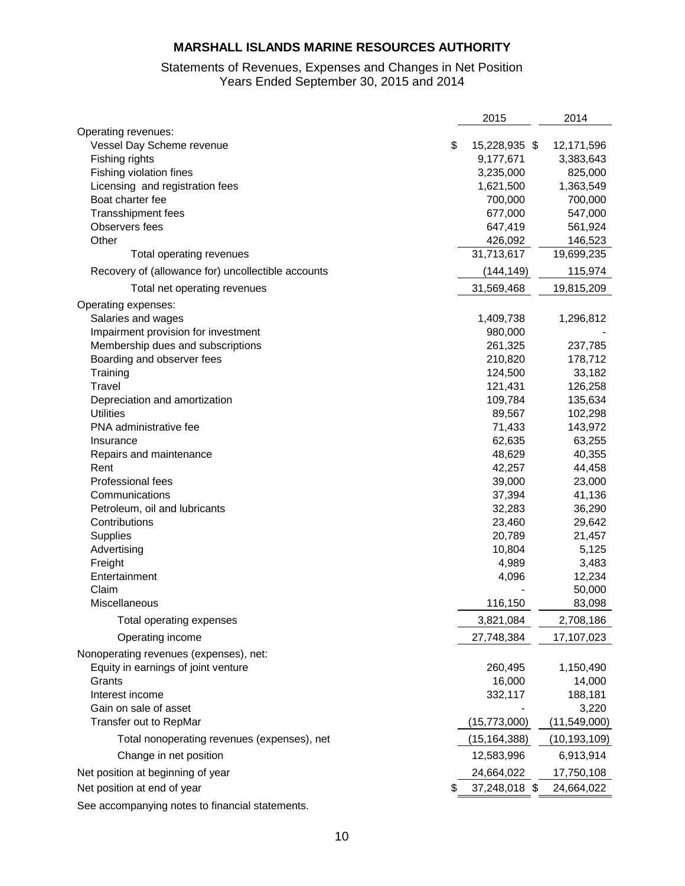#### Statements of Revenues, Expenses and Changes in Net Position Years Ended September 30, 2015 and 2014

|                                                    | 2015                | 2014           |
|----------------------------------------------------|---------------------|----------------|
| Operating revenues:                                |                     |                |
| Vessel Day Scheme revenue                          | \$<br>15,228,935 \$ | 12,171,596     |
| Fishing rights                                     | 9,177,671           | 3,383,643      |
| Fishing violation fines                            | 3,235,000           | 825,000        |
| Licensing and registration fees                    | 1,621,500           | 1,363,549      |
| Boat charter fee                                   | 700,000             | 700,000        |
| <b>Transshipment fees</b>                          | 677,000             | 547,000        |
| Observers fees                                     | 647,419             | 561,924        |
| Other                                              | 426,092             | 146,523        |
| Total operating revenues                           | 31,713,617          | 19,699,235     |
| Recovery of (allowance for) uncollectible accounts | (144, 149)          | 115,974        |
| Total net operating revenues                       | 31,569,468          | 19,815,209     |
| Operating expenses:                                |                     |                |
| Salaries and wages                                 | 1,409,738           | 1,296,812      |
| Impairment provision for investment                | 980,000             |                |
| Membership dues and subscriptions                  | 261,325             | 237,785        |
| Boarding and observer fees                         | 210,820             | 178,712        |
| Training                                           | 124,500             | 33,182         |
| Travel                                             | 121,431             | 126,258        |
| Depreciation and amortization                      | 109,784             | 135,634        |
| <b>Utilities</b>                                   | 89,567              | 102,298        |
| PNA administrative fee                             | 71,433              | 143,972        |
| Insurance                                          | 62,635              | 63,255         |
| Repairs and maintenance                            | 48,629              | 40,355         |
| Rent                                               | 42,257              | 44,458         |
| Professional fees                                  | 39,000              | 23,000         |
| Communications                                     | 37,394              | 41,136         |
| Petroleum, oil and lubricants                      | 32,283              | 36,290         |
| Contributions                                      | 23,460              | 29,642         |
| Supplies                                           | 20,789              | 21,457         |
| Advertising                                        | 10,804              | 5,125          |
| Freight                                            | 4,989               | 3,483          |
| Entertainment                                      | 4,096               | 12,234         |
| Claim                                              |                     | 50,000         |
| Miscellaneous                                      | 116,150             | 83,098         |
| Total operating expenses                           | 3,821,084           | 2,708,186      |
| Operating income                                   | 27,748,384          | 17,107,023     |
| Nonoperating revenues (expenses), net:             |                     |                |
| Equity in earnings of joint venture                | 260,495             | 1,150,490      |
| Grants                                             | 16,000              | 14,000         |
| Interest income                                    | 332,117             | 188,181        |
| Gain on sale of asset                              |                     | 3,220          |
| Transfer out to RepMar                             | (15,773,000)        | (11,549,000)   |
| Total nonoperating revenues (expenses), net        | (15, 164, 388)      | (10, 193, 109) |
| Change in net position                             | 12,583,996          | 6,913,914      |
| Net position at beginning of year                  | 24,664,022          | 17,750,108     |
| Net position at end of year                        | \$<br>37,248,018 \$ | 24,664,022     |
| satan ta finanaial atatan                          |                     |                |

See accompanying notes to financial statements.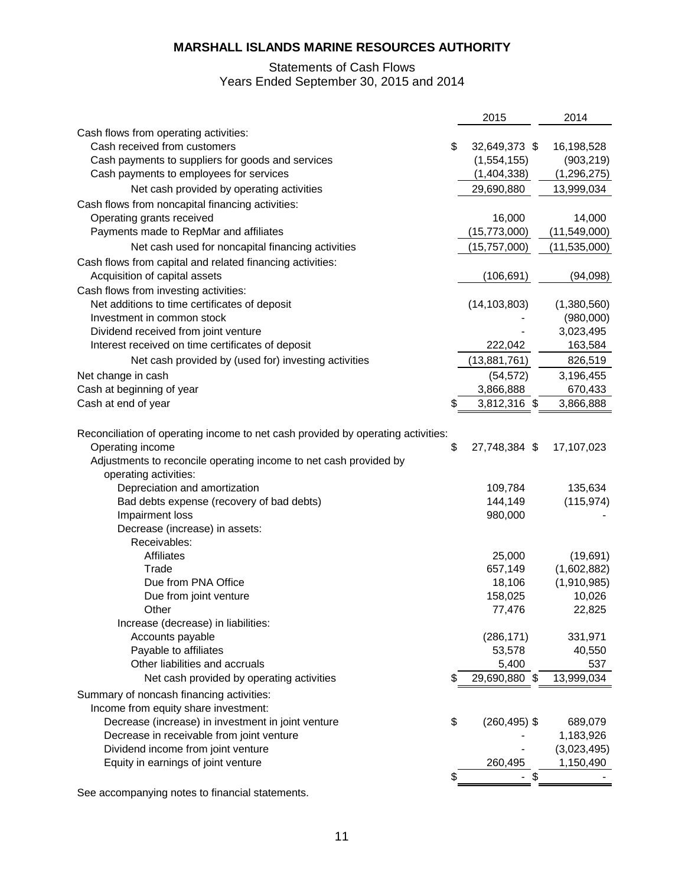### Statements of Cash Flows Years Ended September 30, 2015 and 2014

|                                                                                  |    | 2015            | 2014           |
|----------------------------------------------------------------------------------|----|-----------------|----------------|
| Cash flows from operating activities:                                            |    |                 |                |
| Cash received from customers                                                     | \$ | 32,649,373 \$   | 16,198,528     |
| Cash payments to suppliers for goods and services                                |    | (1,554,155)     | (903, 219)     |
| Cash payments to employees for services                                          |    | (1,404,338)     | (1, 296, 275)  |
| Net cash provided by operating activities                                        |    | 29,690,880      | 13,999,034     |
| Cash flows from noncapital financing activities:                                 |    |                 |                |
| Operating grants received                                                        |    | 16,000          | 14,000         |
| Payments made to RepMar and affiliates                                           |    | (15, 773, 000)  | (11,549,000)   |
| Net cash used for noncapital financing activities                                |    | (15,757,000)    | (11, 535, 000) |
| Cash flows from capital and related financing activities:                        |    |                 |                |
| Acquisition of capital assets                                                    |    | (106, 691)      | (94,098)       |
| Cash flows from investing activities:                                            |    |                 |                |
| Net additions to time certificates of deposit                                    |    | (14, 103, 803)  | (1,380,560)    |
| Investment in common stock                                                       |    |                 | (980,000)      |
| Dividend received from joint venture                                             |    |                 | 3,023,495      |
| Interest received on time certificates of deposit                                |    | 222,042         | 163,584        |
| Net cash provided by (used for) investing activities                             |    | (13,881,761)    | 826,519        |
| Net change in cash                                                               |    | (54, 572)       | 3,196,455      |
| Cash at beginning of year                                                        |    | 3,866,888       | 670,433        |
| Cash at end of year                                                              | \$ | 3,812,316 \$    | 3,866,888      |
|                                                                                  |    |                 |                |
| Reconciliation of operating income to net cash provided by operating activities: |    |                 |                |
| Operating income                                                                 | \$ | 27,748,384 \$   | 17,107,023     |
| Adjustments to reconcile operating income to net cash provided by                |    |                 |                |
| operating activities:                                                            |    |                 |                |
| Depreciation and amortization                                                    |    | 109,784         | 135,634        |
| Bad debts expense (recovery of bad debts)                                        |    | 144,149         | (115, 974)     |
| Impairment loss                                                                  |    | 980,000         |                |
| Decrease (increase) in assets:                                                   |    |                 |                |
| Receivables:                                                                     |    |                 |                |
| <b>Affiliates</b>                                                                |    | 25,000          | (19,691)       |
| Trade                                                                            |    | 657,149         | (1,602,882)    |
| Due from PNA Office                                                              |    | 18,106          | (1,910,985)    |
| Due from joint venture                                                           |    | 158,025         | 10,026         |
| Other                                                                            |    | 77,476          | 22,825         |
| Increase (decrease) in liabilities:                                              |    |                 |                |
| Accounts payable                                                                 |    | (286, 171)      | 331,971        |
| Payable to affiliates                                                            |    | 53,578          | 40,550         |
| Other liabilities and accruals                                                   |    | 5,400           | 537            |
| Net cash provided by operating activities                                        | S  | 29,690,880 \$   | 13,999,034     |
| Summary of noncash financing activities:                                         |    |                 |                |
| Income from equity share investment:                                             |    |                 |                |
| Decrease (increase) in investment in joint venture                               | \$ | $(260, 495)$ \$ | 689,079        |
| Decrease in receivable from joint venture                                        |    |                 | 1,183,926      |
| Dividend income from joint venture                                               |    |                 | (3,023,495)    |
| Equity in earnings of joint venture                                              |    | 260,495         | 1,150,490      |
|                                                                                  | \$ | - \$            |                |

See accompanying notes to financial statements.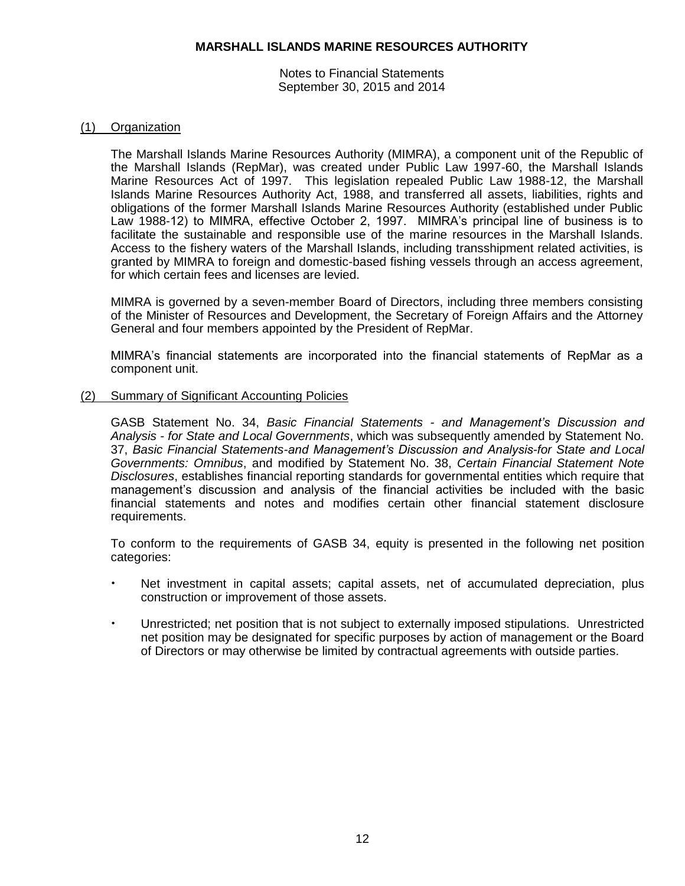Notes to Financial Statements September 30, 2015 and 2014

### (1) Organization

The Marshall Islands Marine Resources Authority (MIMRA), a component unit of the Republic of the Marshall Islands (RepMar), was created under Public Law 1997-60, the Marshall Islands Marine Resources Act of 1997. This legislation repealed Public Law 1988-12, the Marshall Islands Marine Resources Authority Act, 1988, and transferred all assets, liabilities, rights and obligations of the former Marshall Islands Marine Resources Authority (established under Public Law 1988-12) to MIMRA, effective October 2, 1997. MIMRA's principal line of business is to facilitate the sustainable and responsible use of the marine resources in the Marshall Islands. Access to the fishery waters of the Marshall Islands, including transshipment related activities, is granted by MIMRA to foreign and domestic-based fishing vessels through an access agreement, for which certain fees and licenses are levied.

MIMRA is governed by a seven-member Board of Directors, including three members consisting of the Minister of Resources and Development, the Secretary of Foreign Affairs and the Attorney General and four members appointed by the President of RepMar.

MIMRA's financial statements are incorporated into the financial statements of RepMar as a component unit.

#### (2) Summary of Significant Accounting Policies

GASB Statement No. 34, *Basic Financial Statements - and Management's Discussion and Analysis - for State and Local Governments*, which was subsequently amended by Statement No. 37, *Basic Financial Statements-and Management's Discussion and Analysis-for State and Local Governments: Omnibus*, and modified by Statement No. 38, *Certain Financial Statement Note Disclosures*, establishes financial reporting standards for governmental entities which require that management's discussion and analysis of the financial activities be included with the basic financial statements and notes and modifies certain other financial statement disclosure requirements.

To conform to the requirements of GASB 34, equity is presented in the following net position categories:

- Net investment in capital assets; capital assets, net of accumulated depreciation, plus construction or improvement of those assets.
- Unrestricted; net position that is not subject to externally imposed stipulations. Unrestricted net position may be designated for specific purposes by action of management or the Board of Directors or may otherwise be limited by contractual agreements with outside parties.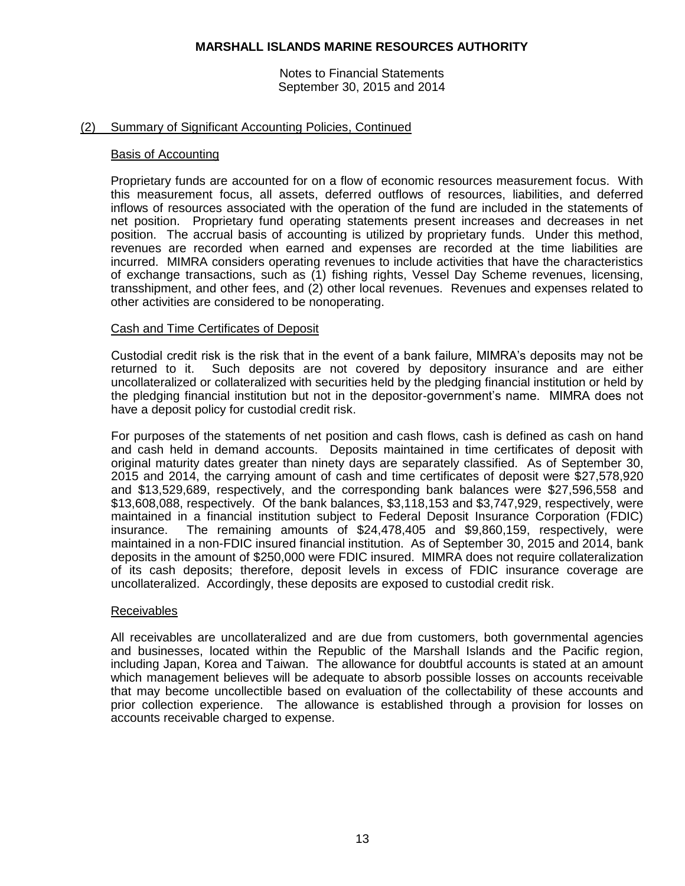Notes to Financial Statements September 30, 2015 and 2014

### (2) Summary of Significant Accounting Policies, Continued

#### Basis of Accounting

Proprietary funds are accounted for on a flow of economic resources measurement focus. With this measurement focus, all assets, deferred outflows of resources, liabilities, and deferred inflows of resources associated with the operation of the fund are included in the statements of net position. Proprietary fund operating statements present increases and decreases in net position. The accrual basis of accounting is utilized by proprietary funds. Under this method, revenues are recorded when earned and expenses are recorded at the time liabilities are incurred. MIMRA considers operating revenues to include activities that have the characteristics of exchange transactions, such as (1) fishing rights, Vessel Day Scheme revenues, licensing, transshipment, and other fees, and (2) other local revenues. Revenues and expenses related to other activities are considered to be nonoperating.

### Cash and Time Certificates of Deposit

Custodial credit risk is the risk that in the event of a bank failure, MIMRA's deposits may not be returned to it. Such deposits are not covered by depository insurance and are either uncollateralized or collateralized with securities held by the pledging financial institution or held by the pledging financial institution but not in the depositor-government's name. MIMRA does not have a deposit policy for custodial credit risk.

For purposes of the statements of net position and cash flows, cash is defined as cash on hand and cash held in demand accounts. Deposits maintained in time certificates of deposit with original maturity dates greater than ninety days are separately classified. As of September 30, 2015 and 2014, the carrying amount of cash and time certificates of deposit were \$27,578,920 and \$13,529,689, respectively, and the corresponding bank balances were \$27,596,558 and \$13,608,088, respectively. Of the bank balances, \$3,118,153 and \$3,747,929, respectively, were maintained in a financial institution subject to Federal Deposit Insurance Corporation (FDIC) insurance. The remaining amounts of \$24,478,405 and \$9,860,159, respectively, were maintained in a non-FDIC insured financial institution. As of September 30, 2015 and 2014, bank deposits in the amount of \$250,000 were FDIC insured. MIMRA does not require collateralization of its cash deposits; therefore, deposit levels in excess of FDIC insurance coverage are uncollateralized. Accordingly, these deposits are exposed to custodial credit risk.

### Receivables

All receivables are uncollateralized and are due from customers, both governmental agencies and businesses, located within the Republic of the Marshall Islands and the Pacific region, including Japan, Korea and Taiwan. The allowance for doubtful accounts is stated at an amount which management believes will be adequate to absorb possible losses on accounts receivable that may become uncollectible based on evaluation of the collectability of these accounts and prior collection experience. The allowance is established through a provision for losses on accounts receivable charged to expense.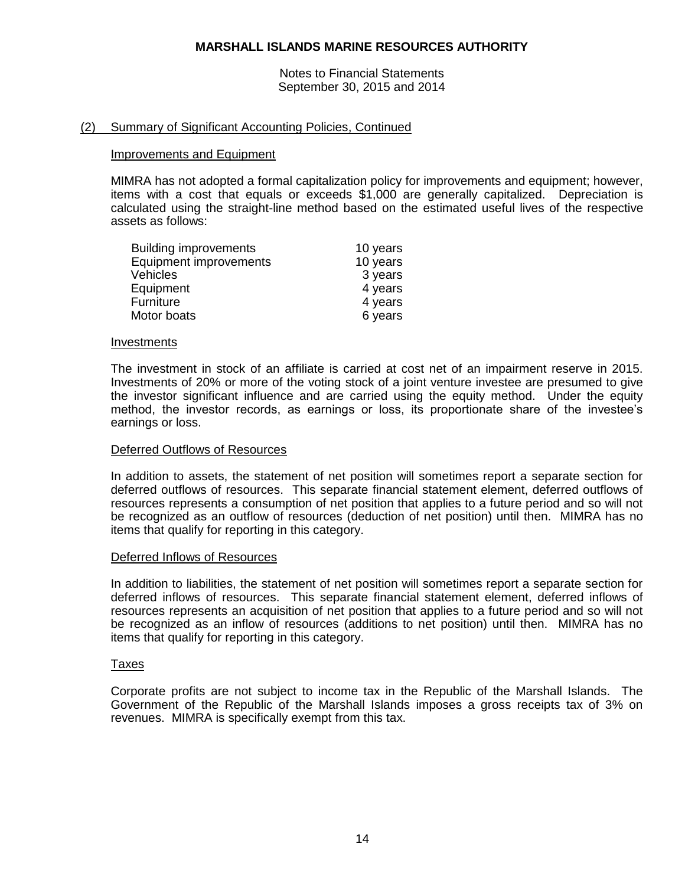Notes to Financial Statements September 30, 2015 and 2014

### (2) Summary of Significant Accounting Policies, Continued

#### Improvements and Equipment

MIMRA has not adopted a formal capitalization policy for improvements and equipment; however, items with a cost that equals or exceeds \$1,000 are generally capitalized. Depreciation is calculated using the straight-line method based on the estimated useful lives of the respective assets as follows:

| <b>Building improvements</b> | 10 years |
|------------------------------|----------|
| Equipment improvements       | 10 years |
| <b>Vehicles</b>              | 3 years  |
| Equipment                    | 4 years  |
| Furniture                    | 4 years  |
| Motor boats                  | 6 years  |

#### Investments

The investment in stock of an affiliate is carried at cost net of an impairment reserve in 2015. Investments of 20% or more of the voting stock of a joint venture investee are presumed to give the investor significant influence and are carried using the equity method. Under the equity method, the investor records, as earnings or loss, its proportionate share of the investee's earnings or loss.

#### Deferred Outflows of Resources

In addition to assets, the statement of net position will sometimes report a separate section for deferred outflows of resources. This separate financial statement element, deferred outflows of resources represents a consumption of net position that applies to a future period and so will not be recognized as an outflow of resources (deduction of net position) until then. MIMRA has no items that qualify for reporting in this category.

#### Deferred Inflows of Resources

In addition to liabilities, the statement of net position will sometimes report a separate section for deferred inflows of resources. This separate financial statement element, deferred inflows of resources represents an acquisition of net position that applies to a future period and so will not be recognized as an inflow of resources (additions to net position) until then. MIMRA has no items that qualify for reporting in this category.

#### Taxes

Corporate profits are not subject to income tax in the Republic of the Marshall Islands. The Government of the Republic of the Marshall Islands imposes a gross receipts tax of 3% on revenues. MIMRA is specifically exempt from this tax.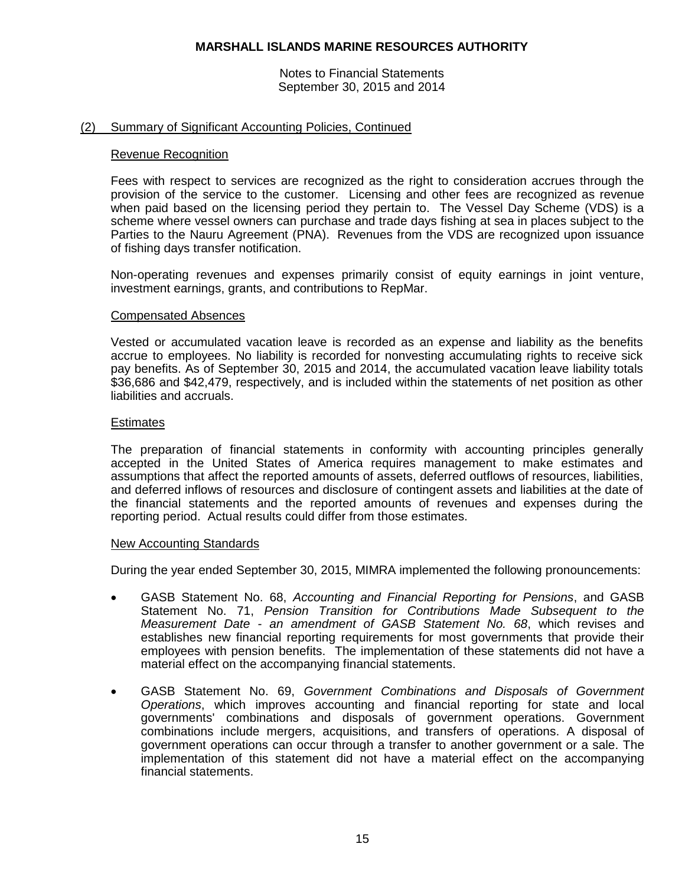Notes to Financial Statements September 30, 2015 and 2014

### (2) Summary of Significant Accounting Policies, Continued

#### Revenue Recognition

Fees with respect to services are recognized as the right to consideration accrues through the provision of the service to the customer. Licensing and other fees are recognized as revenue when paid based on the licensing period they pertain to. The Vessel Day Scheme (VDS) is a scheme where vessel owners can purchase and trade days fishing at sea in places subject to the Parties to the Nauru Agreement (PNA). Revenues from the VDS are recognized upon issuance of fishing days transfer notification.

Non-operating revenues and expenses primarily consist of equity earnings in joint venture, investment earnings, grants, and contributions to RepMar.

#### Compensated Absences

Vested or accumulated vacation leave is recorded as an expense and liability as the benefits accrue to employees. No liability is recorded for nonvesting accumulating rights to receive sick pay benefits. As of September 30, 2015 and 2014, the accumulated vacation leave liability totals \$36,686 and \$42,479, respectively, and is included within the statements of net position as other liabilities and accruals.

### **Estimates**

The preparation of financial statements in conformity with accounting principles generally accepted in the United States of America requires management to make estimates and assumptions that affect the reported amounts of assets, deferred outflows of resources, liabilities, and deferred inflows of resources and disclosure of contingent assets and liabilities at the date of the financial statements and the reported amounts of revenues and expenses during the reporting period. Actual results could differ from those estimates.

#### New Accounting Standards

During the year ended September 30, 2015, MIMRA implemented the following pronouncements:

- GASB Statement No. 68, *Accounting and Financial Reporting for Pensions*, and GASB Statement No. 71, *Pension Transition for Contributions Made Subsequent to the Measurement Date - an amendment of GASB Statement No. 68*, which revises and establishes new financial reporting requirements for most governments that provide their employees with pension benefits. The implementation of these statements did not have a material effect on the accompanying financial statements.
- GASB Statement No. 69, *Government Combinations and Disposals of Government Operations*, which improves accounting and financial reporting for state and local governments' combinations and disposals of government operations. Government combinations include mergers, acquisitions, and transfers of operations. A disposal of government operations can occur through a transfer to another government or a sale. The implementation of this statement did not have a material effect on the accompanying financial statements.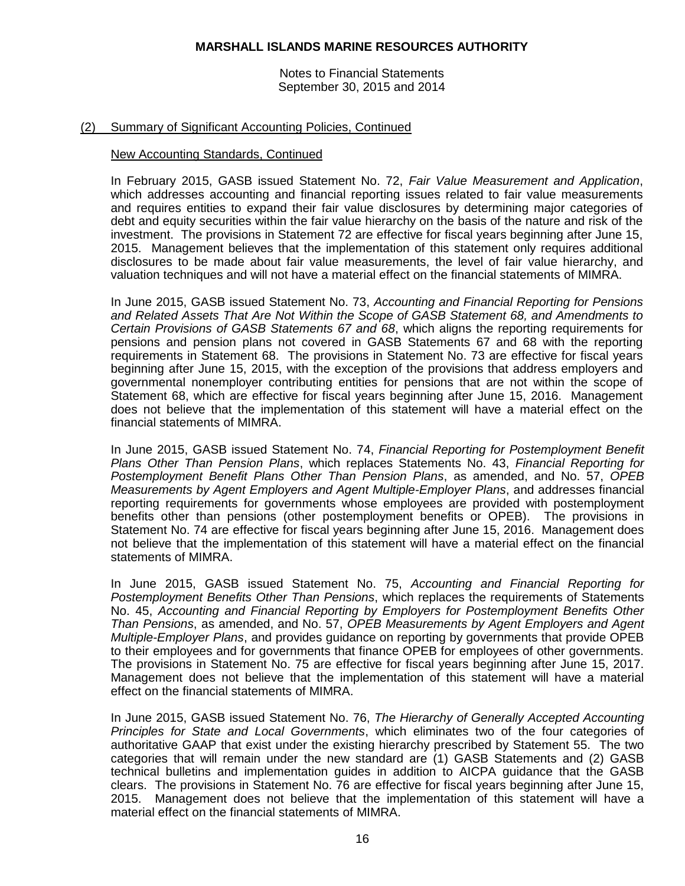Notes to Financial Statements September 30, 2015 and 2014

### (2) Summary of Significant Accounting Policies, Continued

#### New Accounting Standards, Continued

In February 2015, GASB issued Statement No. 72, *Fair Value Measurement and Application*, which addresses accounting and financial reporting issues related to fair value measurements and requires entities to expand their fair value disclosures by determining major categories of debt and equity securities within the fair value hierarchy on the basis of the nature and risk of the investment. The provisions in Statement 72 are effective for fiscal years beginning after June 15, 2015. Management believes that the implementation of this statement only requires additional disclosures to be made about fair value measurements, the level of fair value hierarchy, and valuation techniques and will not have a material effect on the financial statements of MIMRA.

In June 2015, GASB issued Statement No. 73, *Accounting and Financial Reporting for Pensions and Related Assets That Are Not Within the Scope of GASB Statement 68, and Amendments to Certain Provisions of GASB Statements 67 and 68*, which aligns the reporting requirements for pensions and pension plans not covered in GASB Statements 67 and 68 with the reporting requirements in Statement 68. The provisions in Statement No. 73 are effective for fiscal years beginning after June 15, 2015, with the exception of the provisions that address employers and governmental nonemployer contributing entities for pensions that are not within the scope of Statement 68, which are effective for fiscal years beginning after June 15, 2016. Management does not believe that the implementation of this statement will have a material effect on the financial statements of MIMRA.

In June 2015, GASB issued Statement No. 74, *Financial Reporting for Postemployment Benefit Plans Other Than Pension Plans*, which replaces Statements No. 43, *Financial Reporting for Postemployment Benefit Plans Other Than Pension Plans*, as amended, and No. 57, *OPEB Measurements by Agent Employers and Agent Multiple-Employer Plans*, and addresses financial reporting requirements for governments whose employees are provided with postemployment benefits other than pensions (other postemployment benefits or OPEB). The provisions in Statement No. 74 are effective for fiscal years beginning after June 15, 2016. Management does not believe that the implementation of this statement will have a material effect on the financial statements of MIMRA.

In June 2015, GASB issued Statement No. 75, *Accounting and Financial Reporting for Postemployment Benefits Other Than Pensions*, which replaces the requirements of Statements No. 45, *Accounting and Financial Reporting by Employers for Postemployment Benefits Other Than Pensions*, as amended, and No. 57, *OPEB Measurements by Agent Employers and Agent Multiple-Employer Plans*, and provides guidance on reporting by governments that provide OPEB to their employees and for governments that finance OPEB for employees of other governments. The provisions in Statement No. 75 are effective for fiscal years beginning after June 15, 2017. Management does not believe that the implementation of this statement will have a material effect on the financial statements of MIMRA.

In June 2015, GASB issued Statement No. 76, *The Hierarchy of Generally Accepted Accounting Principles for State and Local Governments*, which eliminates two of the four categories of authoritative GAAP that exist under the existing hierarchy prescribed by Statement 55. The two categories that will remain under the new standard are (1) GASB Statements and (2) GASB technical bulletins and implementation guides in addition to AICPA guidance that the GASB clears. The provisions in Statement No. 76 are effective for fiscal years beginning after June 15, 2015. Management does not believe that the implementation of this statement will have a material effect on the financial statements of MIMRA.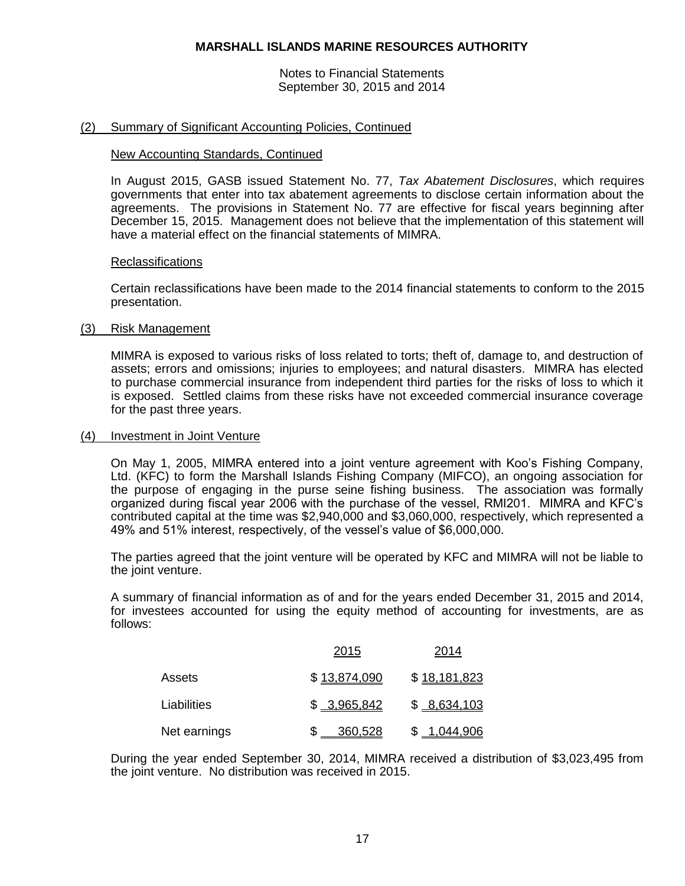Notes to Financial Statements September 30, 2015 and 2014

#### (2) Summary of Significant Accounting Policies, Continued

#### New Accounting Standards, Continued

In August 2015, GASB issued Statement No. 77, *Tax Abatement Disclosures*, which requires governments that enter into tax abatement agreements to disclose certain information about the agreements. The provisions in Statement No. 77 are effective for fiscal years beginning after December 15, 2015. Management does not believe that the implementation of this statement will have a material effect on the financial statements of MIMRA.

#### **Reclassifications**

Certain reclassifications have been made to the 2014 financial statements to conform to the 2015 presentation.

#### (3) Risk Management

MIMRA is exposed to various risks of loss related to torts; theft of, damage to, and destruction of assets; errors and omissions; injuries to employees; and natural disasters. MIMRA has elected to purchase commercial insurance from independent third parties for the risks of loss to which it is exposed. Settled claims from these risks have not exceeded commercial insurance coverage for the past three years.

#### (4) Investment in Joint Venture

On May 1, 2005, MIMRA entered into a joint venture agreement with Koo's Fishing Company, Ltd. (KFC) to form the Marshall Islands Fishing Company (MIFCO), an ongoing association for the purpose of engaging in the purse seine fishing business. The association was formally organized during fiscal year 2006 with the purchase of the vessel, RMI201. MIMRA and KFC's contributed capital at the time was \$2,940,000 and \$3,060,000, respectively, which represented a 49% and 51% interest, respectively, of the vessel's value of \$6,000,000.

The parties agreed that the joint venture will be operated by KFC and MIMRA will not be liable to the joint venture.

A summary of financial information as of and for the years ended December 31, 2015 and 2014, for investees accounted for using the equity method of accounting for investments, are as follows:

|              | 2015           | 2014             |
|--------------|----------------|------------------|
| Assets       | \$13,874,090   | \$18,181,823     |
| Liabilities  | \$ 3,965,842   | \$0.634,103      |
| Net earnings | <u>360,528</u> | <u>1,044,906</u> |

During the year ended September 30, 2014, MIMRA received a distribution of \$3,023,495 from the joint venture. No distribution was received in 2015.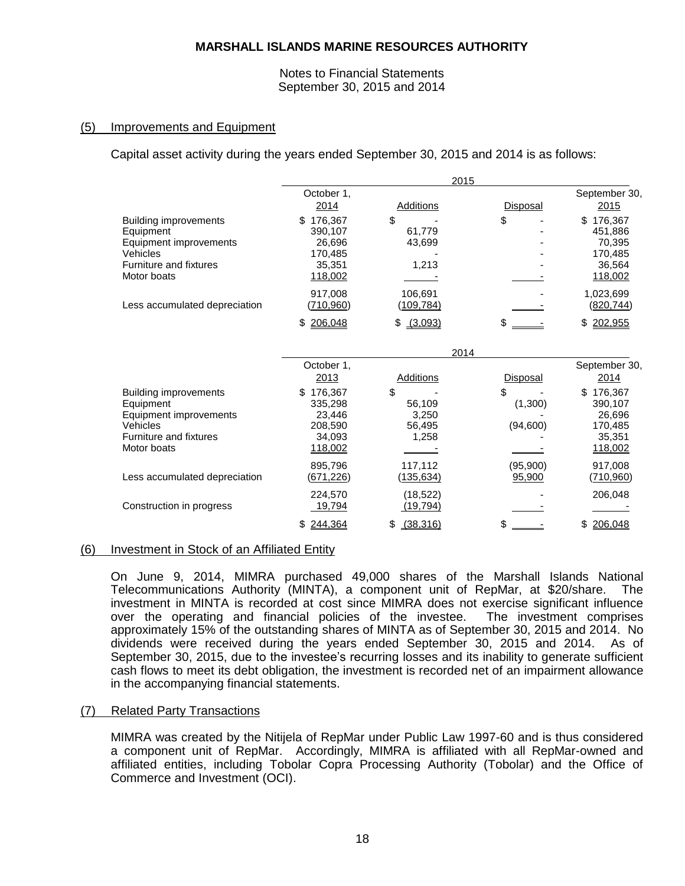Notes to Financial Statements September 30, 2015 and 2014

### (5) Improvements and Equipment

Capital asset activity during the years ended September 30, 2015 and 2014 is as follows:

|                                                                                                                          | 2015                                                           |                                           |                           |                                                                |
|--------------------------------------------------------------------------------------------------------------------------|----------------------------------------------------------------|-------------------------------------------|---------------------------|----------------------------------------------------------------|
|                                                                                                                          | October 1,                                                     |                                           |                           | September 30,                                                  |
|                                                                                                                          | 2014                                                           | Additions                                 | Disposal                  | 2015                                                           |
| <b>Building improvements</b><br>Equipment<br>Equipment improvements<br>Vehicles<br>Furniture and fixtures<br>Motor boats | \$176,367<br>390,107<br>26.696<br>170,485<br>35,351<br>118,002 | \$<br>61.779<br>43,699<br>1,213           | \$                        | \$176,367<br>451,886<br>70.395<br>170,485<br>36,564<br>118,002 |
| Less accumulated depreciation                                                                                            | 917,008<br>(710,960)                                           | 106,691<br>(109,784)                      |                           | 1,023,699<br>(820, 744)                                        |
|                                                                                                                          | 206,048<br>\$                                                  | (3,093)<br>\$                             | \$                        | 202,955<br>\$                                                  |
|                                                                                                                          | 2014                                                           |                                           |                           |                                                                |
|                                                                                                                          | October 1,                                                     |                                           |                           | September 30,                                                  |
|                                                                                                                          | 2013                                                           | <b>Additions</b>                          | Disposal                  | 2014                                                           |
| <b>Building improvements</b><br>Equipment<br>Equipment improvements<br>Vehicles<br>Furniture and fixtures<br>Motor boats | \$176,367<br>335,298<br>23.446<br>208,590<br>34,093<br>118,002 | \$.<br>56,109<br>3.250<br>56,495<br>1,258 | \$<br>(1,300)<br>(94,600) | \$176,367<br>390,107<br>26.696<br>170,485<br>35,351<br>118,002 |
| Less accumulated depreciation                                                                                            | 895,796<br>(671, 226)                                          | 117,112<br>(135,634)                      | (95,900)<br>95,900        | 917,008<br>(710,960)                                           |
| Construction in progress                                                                                                 | 224,570<br>19,794                                              | (18, 522)<br>(19, 794)                    |                           | 206,048                                                        |
|                                                                                                                          | <u>244,364</u>                                                 | (38, 316)                                 |                           | 206,048<br>\$                                                  |

### (6) Investment in Stock of an Affiliated Entity

On June 9, 2014, MIMRA purchased 49,000 shares of the Marshall Islands National Telecommunications Authority (MINTA), a component unit of RepMar, at \$20/share. The investment in MINTA is recorded at cost since MIMRA does not exercise significant influence over the operating and financial policies of the investee. The investment comprises approximately 15% of the outstanding shares of MINTA as of September 30, 2015 and 2014. No dividends were received during the years ended September 30, 2015 and 2014. As of September 30, 2015, due to the investee's recurring losses and its inability to generate sufficient cash flows to meet its debt obligation, the investment is recorded net of an impairment allowance in the accompanying financial statements.

### (7) Related Party Transactions

MIMRA was created by the Nitijela of RepMar under Public Law 1997-60 and is thus considered a component unit of RepMar. Accordingly, MIMRA is affiliated with all RepMar-owned and affiliated entities, including Tobolar Copra Processing Authority (Tobolar) and the Office of Commerce and Investment (OCI).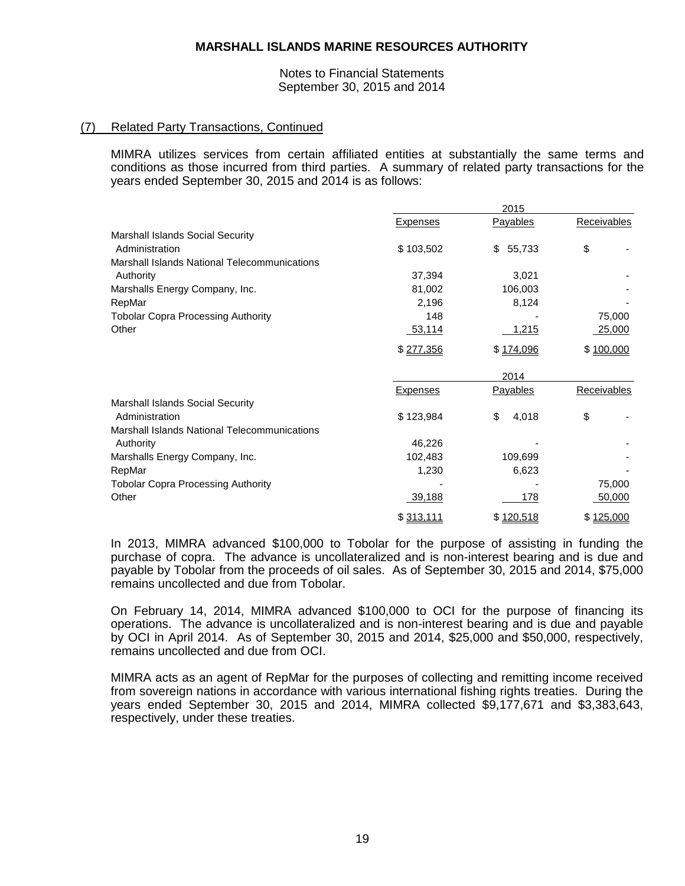#### Notes to Financial Statements September 30, 2015 and 2014

### (7) Related Party Transactions, Continued

MIMRA utilizes services from certain affiliated entities at substantially the same terms and conditions as those incurred from third parties. A summary of related party transactions for the years ended September 30, 2015 and 2014 is as follows:

|                                              | 2015            |              |                    |
|----------------------------------------------|-----------------|--------------|--------------------|
|                                              | <b>Expenses</b> | Payables     | <b>Receivables</b> |
| Marshall Islands Social Security             |                 |              |                    |
| Administration                               | \$103,502       | 55,733<br>\$ | \$                 |
| Marshall Islands National Telecommunications |                 |              |                    |
| Authority                                    | 37,394          | 3,021        |                    |
| Marshalls Energy Company, Inc.               | 81,002          | 106,003      |                    |
| RepMar                                       | 2,196           | 8,124        |                    |
| <b>Tobolar Copra Processing Authority</b>    | 148             |              | 75,000             |
| Other                                        | <u>53,114</u>   | <u>1,215</u> | <u>25,000</u>      |
|                                              | \$277,356       | \$174,096    | \$100,000          |
|                                              |                 | 2014         |                    |
|                                              | <b>Expenses</b> | Payables     | <b>Receivables</b> |
| Marshall Islands Social Security             |                 |              |                    |
| Administration                               | \$123,984       | \$<br>4,018  | \$                 |
| Marshall Islands National Telecommunications |                 |              |                    |
| Authority                                    | 46,226          |              |                    |
| Marshalls Energy Company, Inc.               | 102,483         | 109,699      |                    |
| RepMar                                       | 1,230           | 6,623        |                    |
| <b>Tobolar Copra Processing Authority</b>    |                 |              | 75,000             |
| Other                                        | 39,188          | 178          | 50,000             |
|                                              | \$313,111       | \$120,518    | \$125,000          |

In 2013, MIMRA advanced \$100,000 to Tobolar for the purpose of assisting in funding the purchase of copra. The advance is uncollateralized and is non-interest bearing and is due and payable by Tobolar from the proceeds of oil sales. As of September 30, 2015 and 2014, \$75,000 remains uncollected and due from Tobolar.

On February 14, 2014, MIMRA advanced \$100,000 to OCI for the purpose of financing its operations. The advance is uncollateralized and is non-interest bearing and is due and payable by OCI in April 2014. As of September 30, 2015 and 2014, \$25,000 and \$50,000, respectively, remains uncollected and due from OCI.

MIMRA acts as an agent of RepMar for the purposes of collecting and remitting income received from sovereign nations in accordance with various international fishing rights treaties. During the years ended September 30, 2015 and 2014, MIMRA collected \$9,177,671 and \$3,383,643, respectively, under these treaties.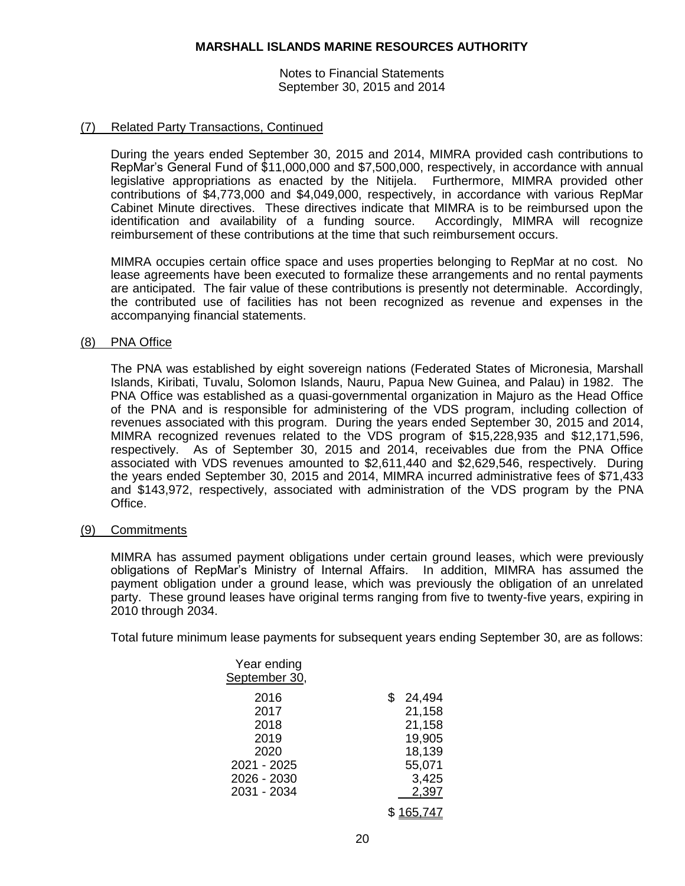Notes to Financial Statements September 30, 2015 and 2014

### (7) Related Party Transactions, Continued

During the years ended September 30, 2015 and 2014, MIMRA provided cash contributions to RepMar's General Fund of \$11,000,000 and \$7,500,000, respectively, in accordance with annual legislative appropriations as enacted by the Nitijela. Furthermore, MIMRA provided other contributions of \$4,773,000 and \$4,049,000, respectively, in accordance with various RepMar Cabinet Minute directives. These directives indicate that MIMRA is to be reimbursed upon the identification and availability of a funding source. Accordingly, MIMRA will recognize reimbursement of these contributions at the time that such reimbursement occurs.

MIMRA occupies certain office space and uses properties belonging to RepMar at no cost. No lease agreements have been executed to formalize these arrangements and no rental payments are anticipated. The fair value of these contributions is presently not determinable. Accordingly, the contributed use of facilities has not been recognized as revenue and expenses in the accompanying financial statements.

### (8) PNA Office

The PNA was established by eight sovereign nations (Federated States of Micronesia, Marshall Islands, Kiribati, Tuvalu, Solomon Islands, Nauru, Papua New Guinea, and Palau) in 1982. The PNA Office was established as a quasi-governmental organization in Majuro as the Head Office of the PNA and is responsible for administering of the VDS program, including collection of revenues associated with this program. During the years ended September 30, 2015 and 2014, MIMRA recognized revenues related to the VDS program of \$15,228,935 and \$12,171,596, respectively. As of September 30, 2015 and 2014, receivables due from the PNA Office associated with VDS revenues amounted to \$2,611,440 and \$2,629,546, respectively. During the years ended September 30, 2015 and 2014, MIMRA incurred administrative fees of \$71,433 and \$143,972, respectively, associated with administration of the VDS program by the PNA Office.

### (9) Commitments

MIMRA has assumed payment obligations under certain ground leases, which were previously obligations of RepMar's Ministry of Internal Affairs. In addition, MIMRA has assumed the payment obligation under a ground lease, which was previously the obligation of an unrelated party. These ground leases have original terms ranging from five to twenty-five years, expiring in 2010 through 2034.

Total future minimum lease payments for subsequent years ending September 30, are as follows:

| Year ending<br>September 30, |              |
|------------------------------|--------------|
| 2016                         | 24,494<br>\$ |
| 2017                         | 21,158       |
| 2018                         | 21,158       |
| 2019                         | 19,905       |
| 2020                         | 18,139       |
| 2021 - 2025                  | 55,071       |
| 2026 - 2030                  | 3,425        |
| 2031 - 2034                  | 2,397        |
|                              | \$ 165,747   |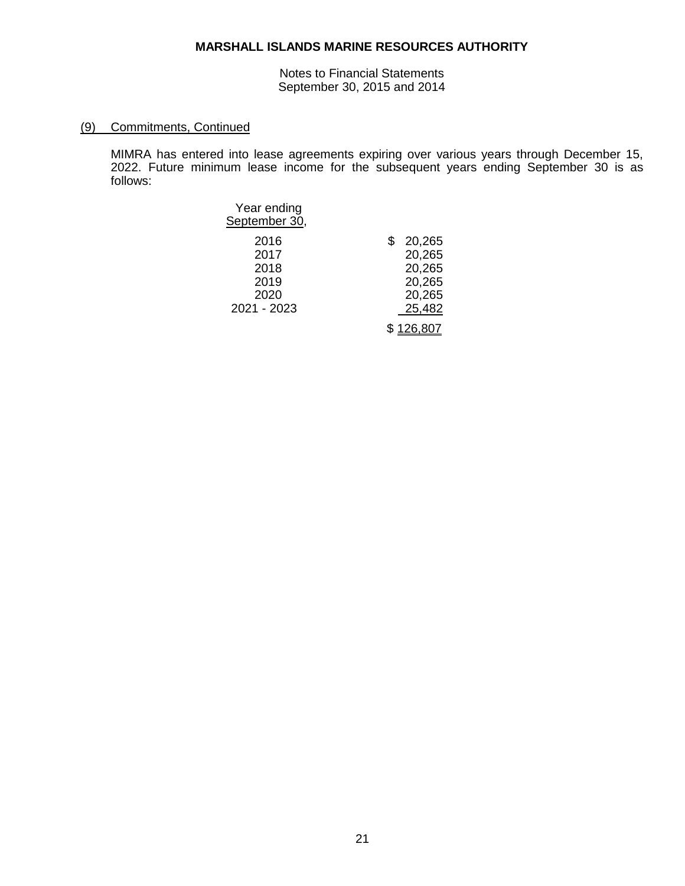Notes to Financial Statements September 30, 2015 and 2014

# (9) Commitments, Continued

MIMRA has entered into lease agreements expiring over various years through December 15, 2022. Future minimum lease income for the subsequent years ending September 30 is as follows:

| Year ending<br>September 30, |              |
|------------------------------|--------------|
| 2016                         | 20,265<br>\$ |
| 2017                         | 20,265       |
| 2018                         | 20,265       |
| 2019                         | 20,265       |
| 2020                         | 20,265       |
| 2021 - 2023                  | 25,482       |
|                              | \$126,807    |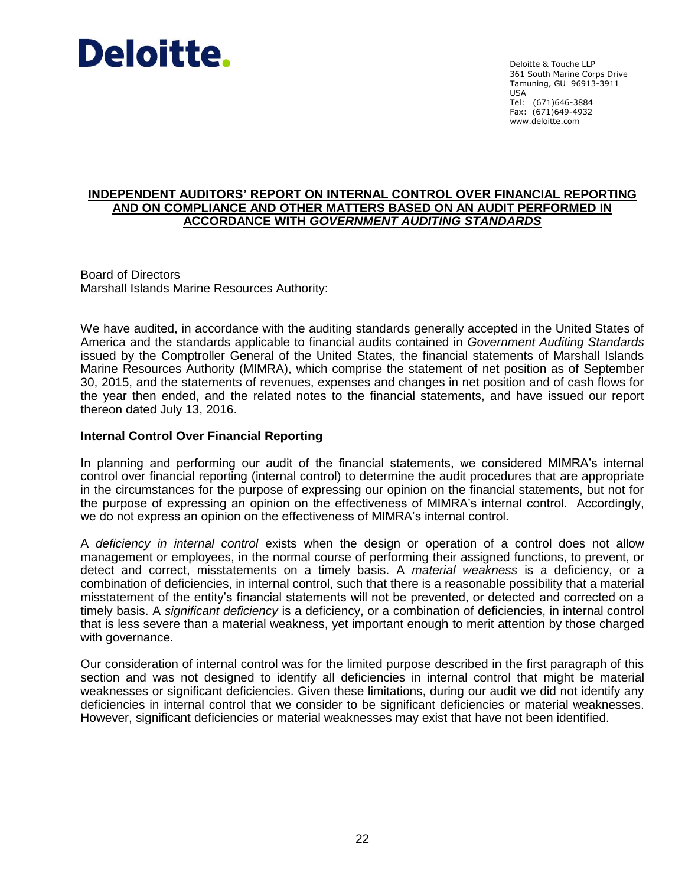

Deloitte & Touche LLP 361 South Marine Corps Drive Tamuning, GU 96913-3911 USA Tel: (671)646-3884 Fax: (671)649-4932 www.deloitte.com

#### **INDEPENDENT AUDITORS' REPORT ON INTERNAL CONTROL OVER FINANCIAL REPORTING AND ON COMPLIANCE AND OTHER MATTERS BASED ON AN AUDIT PERFORMED IN ACCORDANCE WITH** *GOVERNMENT AUDITING STANDARDS*

Board of Directors Marshall Islands Marine Resources Authority:

We have audited, in accordance with the auditing standards generally accepted in the United States of America and the standards applicable to financial audits contained in *Government Auditing Standards* issued by the Comptroller General of the United States, the financial statements of Marshall Islands Marine Resources Authority (MIMRA), which comprise the statement of net position as of September 30, 2015, and the statements of revenues, expenses and changes in net position and of cash flows for the year then ended, and the related notes to the financial statements, and have issued our report thereon dated July 13, 2016.

### **Internal Control Over Financial Reporting**

In planning and performing our audit of the financial statements, we considered MIMRA's internal control over financial reporting (internal control) to determine the audit procedures that are appropriate in the circumstances for the purpose of expressing our opinion on the financial statements, but not for the purpose of expressing an opinion on the effectiveness of MIMRA's internal control. Accordingly, we do not express an opinion on the effectiveness of MIMRA's internal control.

A *deficiency in internal control* exists when the design or operation of a control does not allow management or employees, in the normal course of performing their assigned functions, to prevent, or detect and correct, misstatements on a timely basis. A *material weakness* is a deficiency, or a combination of deficiencies, in internal control, such that there is a reasonable possibility that a material misstatement of the entity's financial statements will not be prevented, or detected and corrected on a timely basis. A *significant deficiency* is a deficiency, or a combination of deficiencies, in internal control that is less severe than a material weakness, yet important enough to merit attention by those charged with governance.

Our consideration of internal control was for the limited purpose described in the first paragraph of this section and was not designed to identify all deficiencies in internal control that might be material weaknesses or significant deficiencies. Given these limitations, during our audit we did not identify any deficiencies in internal control that we consider to be significant deficiencies or material weaknesses. However, significant deficiencies or material weaknesses may exist that have not been identified.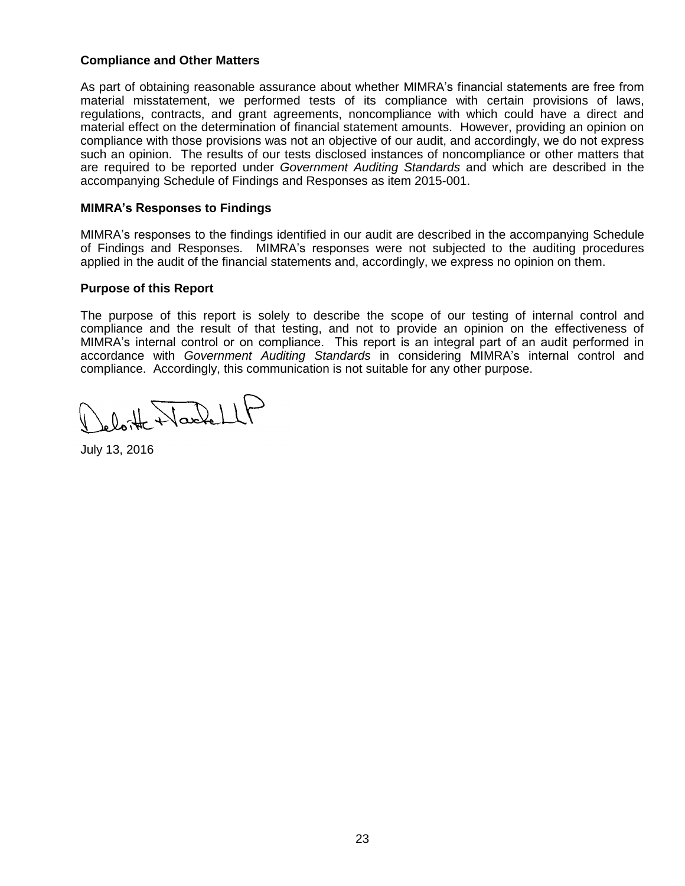### **Compliance and Other Matters**

As part of obtaining reasonable assurance about whether MIMRA's financial statements are free from material misstatement, we performed tests of its compliance with certain provisions of laws, regulations, contracts, and grant agreements, noncompliance with which could have a direct and material effect on the determination of financial statement amounts. However, providing an opinion on compliance with those provisions was not an objective of our audit, and accordingly, we do not express such an opinion. The results of our tests disclosed instances of noncompliance or other matters that are required to be reported under *Government Auditing Standards* and which are described in the accompanying Schedule of Findings and Responses as item 2015-001.

### **MIMRA's Responses to Findings**

MIMRA's responses to the findings identified in our audit are described in the accompanying Schedule of Findings and Responses. MIMRA's responses were not subjected to the auditing procedures applied in the audit of the financial statements and, accordingly, we express no opinion on them.

### **Purpose of this Report**

The purpose of this report is solely to describe the scope of our testing of internal control and compliance and the result of that testing, and not to provide an opinion on the effectiveness of MIMRA's internal control or on compliance. This report is an integral part of an audit performed in accordance with *Government Auditing Standards* in considering MIMRA's internal control and compliance. Accordingly, this communication is not suitable for any other purpose.

Jeloitte NacheLLF

July 13, 2016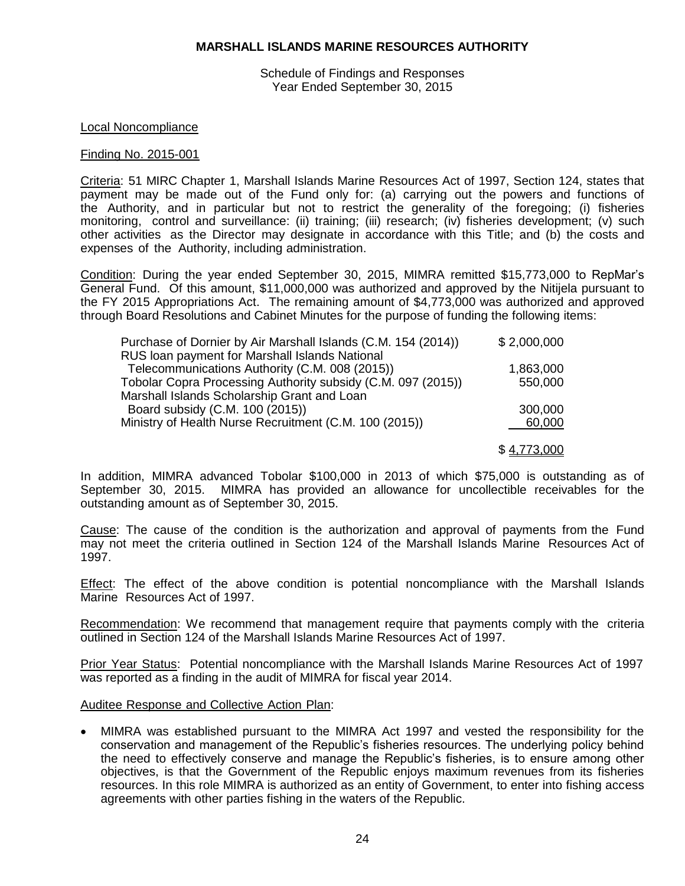Schedule of Findings and Responses Year Ended September 30, 2015

#### Local Noncompliance

#### Finding No. 2015-001

Criteria: 51 MIRC Chapter 1, Marshall Islands Marine Resources Act of 1997, Section 124, states that payment may be made out of the Fund only for: (a) carrying out the powers and functions of the Authority, and in particular but not to restrict the generality of the foregoing; (i) fisheries monitoring, control and surveillance: (ii) training; (iii) research; (iv) fisheries development; (v) such other activities as the Director may designate in accordance with this Title; and (b) the costs and expenses of the Authority, including administration.

Condition: During the year ended September 30, 2015, MIMRA remitted \$15,773,000 to RepMar's General Fund. Of this amount, \$11,000,000 was authorized and approved by the Nitijela pursuant to the FY 2015 Appropriations Act. The remaining amount of \$4,773,000 was authorized and approved through Board Resolutions and Cabinet Minutes for the purpose of funding the following items:

| Purchase of Dornier by Air Marshall Islands (C.M. 154 (2014)) | \$2,000,000 |
|---------------------------------------------------------------|-------------|
| RUS loan payment for Marshall Islands National                |             |
| Telecommunications Authority (C.M. 008 (2015))                | 1,863,000   |
| Tobolar Copra Processing Authority subsidy (C.M. 097 (2015))  | 550,000     |
| Marshall Islands Scholarship Grant and Loan                   |             |
| Board subsidy (C.M. 100 (2015))                               | 300,000     |
| Ministry of Health Nurse Recruitment (C.M. 100 (2015))        | 60,000      |
|                                                               |             |

\$ 4,773,000

In addition, MIMRA advanced Tobolar \$100,000 in 2013 of which \$75,000 is outstanding as of September 30, 2015. MIMRA has provided an allowance for uncollectible receivables for the outstanding amount as of September 30, 2015.

Cause: The cause of the condition is the authorization and approval of payments from the Fund may not meet the criteria outlined in Section 124 of the Marshall Islands Marine Resources Act of 1997.

Effect: The effect of the above condition is potential noncompliance with the Marshall Islands Marine Resources Act of 1997.

Recommendation: We recommend that management require that payments comply with the criteria outlined in Section 124 of the Marshall Islands Marine Resources Act of 1997.

Prior Year Status: Potential noncompliance with the Marshall Islands Marine Resources Act of 1997 was reported as a finding in the audit of MIMRA for fiscal year 2014.

Auditee Response and Collective Action Plan:

 MIMRA was established pursuant to the MIMRA Act 1997 and vested the responsibility for the conservation and management of the Republic's fisheries resources. The underlying policy behind the need to effectively conserve and manage the Republic's fisheries, is to ensure among other objectives, is that the Government of the Republic enjoys maximum revenues from its fisheries resources. In this role MIMRA is authorized as an entity of Government, to enter into fishing access agreements with other parties fishing in the waters of the Republic.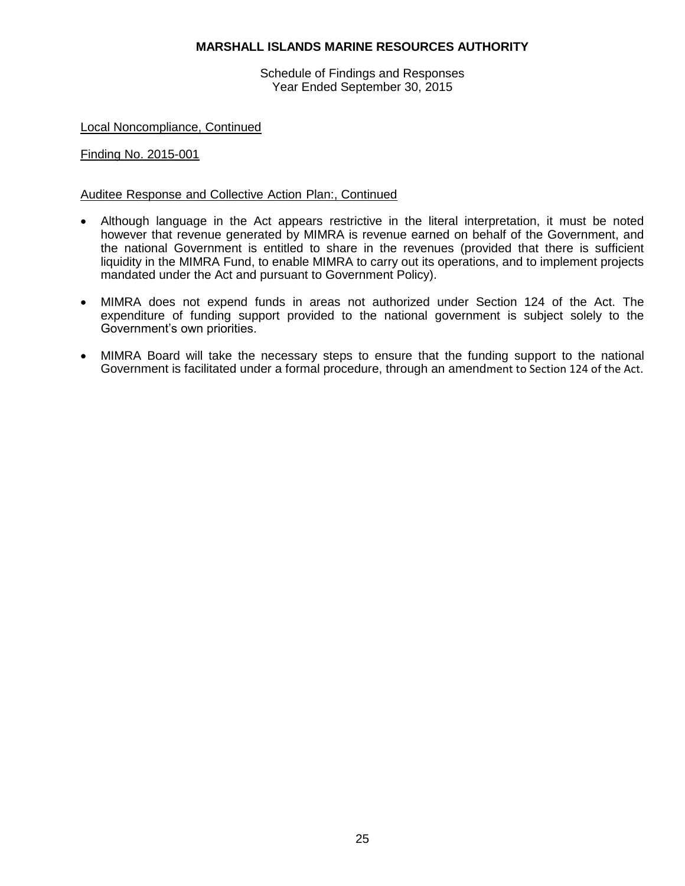Schedule of Findings and Responses Year Ended September 30, 2015

Local Noncompliance, Continued

Finding No. 2015-001

### Auditee Response and Collective Action Plan:, Continued

- Although language in the Act appears restrictive in the literal interpretation, it must be noted however that revenue generated by MIMRA is revenue earned on behalf of the Government, and the national Government is entitled to share in the revenues (provided that there is sufficient liquidity in the MIMRA Fund, to enable MIMRA to carry out its operations, and to implement projects mandated under the Act and pursuant to Government Policy).
- MIMRA does not expend funds in areas not authorized under Section 124 of the Act. The expenditure of funding support provided to the national government is subject solely to the Government's own priorities.
- MIMRA Board will take the necessary steps to ensure that the funding support to the national Government is facilitated under a formal procedure, through an amendment to Section 124 of the Act.